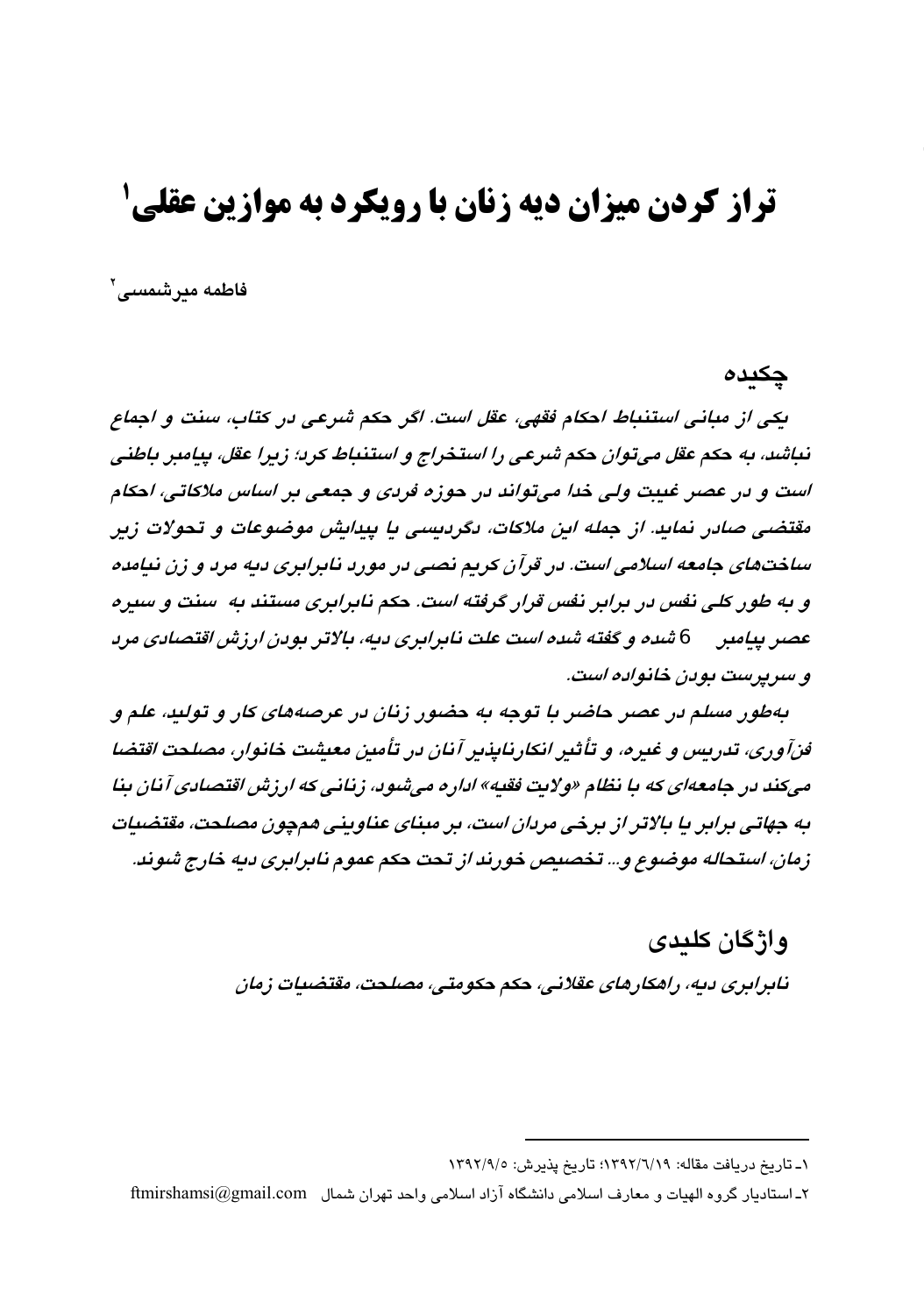# **تراز کردن میزان دیه زنان با رویکرد به موازین عقلی 5**

فاطمه میرشمسی'

### چکیدہ

يكي از مياني استنباط احكام فقهي، عقل است. اگر حكم شرعي در كتاب، سنت و اجماع نياشد، به حكم عقل مي توان حكم شرعي را استخراج و استنباط كريا: زيرا عقل، بيامبر باطني است و در عصر غيبت ولي خدا ميتواند در حوزه فردي و جمعي بر اساس ملاكاتي، احكام مقتضی صادر نماید. از جمله این ملاکات، دگردیسی یا پیدایش موضوعات و تحولات زیر ساختهای جامعه اسلامی است. در قرآن کریم نصبی در مورد نابرابری دیه مرد و زن نیامده و به طور کلی نفس در برابر نفس قرار گرفته است. حکم نابرابری مستند به اسنت و سیره عصر پیامبر ہے شدہ و گفته شدہ است علت نابرابری دیه، بالاتر بودن ارزش اقتصادی مرد و سرپرست پوین خانواده است.

بهطور مسلم در عصر حاضر با توجه به حضور زنان در عرصههای کار و تولید، علم و قنآوری، تدریس و غدره، و تأثیر انکارنایذیر آنان در تأمین معیشت خانوار، مصلحت اقتضا می کند در جامعهای که با نظام «ولایت فقیه» اداره می شود، زنانی که ارزش اقتصادی آنان بنا به جهاتی برابر با بالاتر از برخی مردان است، بر مینای عناوینی موجون مصلحت، مقتضیات زمان، استحاله موضوع و... تخصيص خورند از تحت حكم عموم نابرابري ديه خارج شوند.

> وإژگان كلىدى نابرابري ديه، راهكارهاي عقلاني، حكم حكومتي، مصلحت، مقتضيات زمان

١ـ تاريخ دريافت مقاله: ١٣٩٢/٦/١٩)؛ تاريخ پذيرش: ١٣٩٢/٩/٥

۲ـ استادیار گروه الهیات و معارف اسلامی دانشگاه آزاد اسلامی واحد تهران شمال ftmirshamsi@gmail.com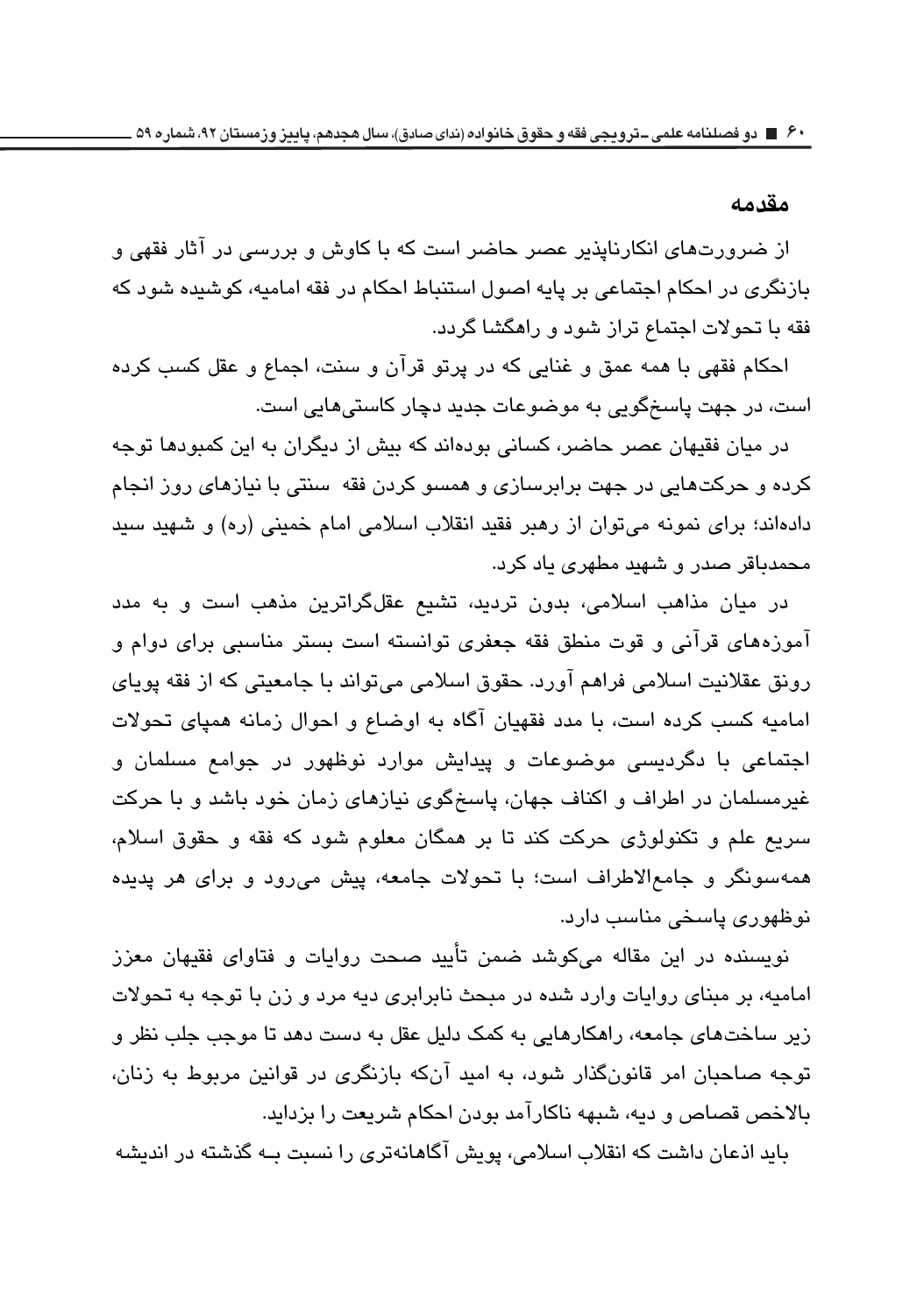#### مقدمه

از ضرورتهای انکارنایذیر عصر حاضر است که با کاوش و بررسی در آثار فقهی و بازنگری در احکام اجتماعی بر پایه اصول استنباط احکام در فقه امامیه، کوشیده شود که فقه با تحولات اجتماع تراز شود و راهگشا گردد.

احکام فقهی با همه عمق و غنایی که در پرتو قرآن و سنت، اجماع و عقل کسب کرده است، در جهت پاسخگویی به موضوعات جدید دچار کاستی هایی است.

در میان فقیهان عصر حاضر، کسانی بودهاند که بیش از دیگران به این کمبودها توجه کرده و حرکتهایی در جهت برابرسازی و همسو کردن فقه اسنتی با نیازهای روز انجام دادهاند؛ برای نمونه می توان از رهبر فقید انقلاب اسلامی امام خمینی (ره) و شهید سید محمدباقر صدر و شهید مطهری یاد کرد.

در میان مذاهب اسلامی، بدون تردید، تشیع عقلگراترین مذهب است و به مدد آموزههای قرآنی و قوت منطق فقه جعفری توانسته است بستر مناسبی برای دوام و رونق عقلانیت اسلامی فراهم آورد. حقوق اسلامی می،تواند با جامعیتی که از فقه پویای امامیه کسب کرده است، با مدد فقهیان آگاه به اوضاع و احوال زمانه همیای تحولات اجتماعی با دگردیسی موضوعات و پیدایش موارد نوظهور در جوامع مسلمان و غیرمسلمان در اطراف و اکناف جهان، پاسخگوی نیازهای زمان خود باشد و با حرکت سریع علم و تکنولوژی حرکت کند تا بر همگان معلوم شود که فقه و حقوق اسلام، همهسونگر و جامعالاطراف است؛ با تحولات جامعه، پیش می رود و برای هر پدیده نوظهوری پاسخی مناسب دارد.

نویسنده در این مقاله میکوشد ضمن تأیید صحت روایات و فتاوای فقیهان معزز امامیه، بر مبنای روایات وارد شده در مبحث نابرابری دیه مرد و زن با توجه به تحولات زیر ساختهای جامعه، راهکارهایی به کمک دلیل عقل به دست دهد تا موجب جلب نظر و توجه صاحبان امر قانونگذار شود، به امید آنکه بازنگری در قوانین مربوط به زنان، بالاخص قصاص و ديه، شبهه ناكارآمد بودن احكام شريعت را بزدايد.

باید اذعان داشت که انقلاب اسلامی، پویش آگاهانهتری را نسبت بـه گذشته در اندیشه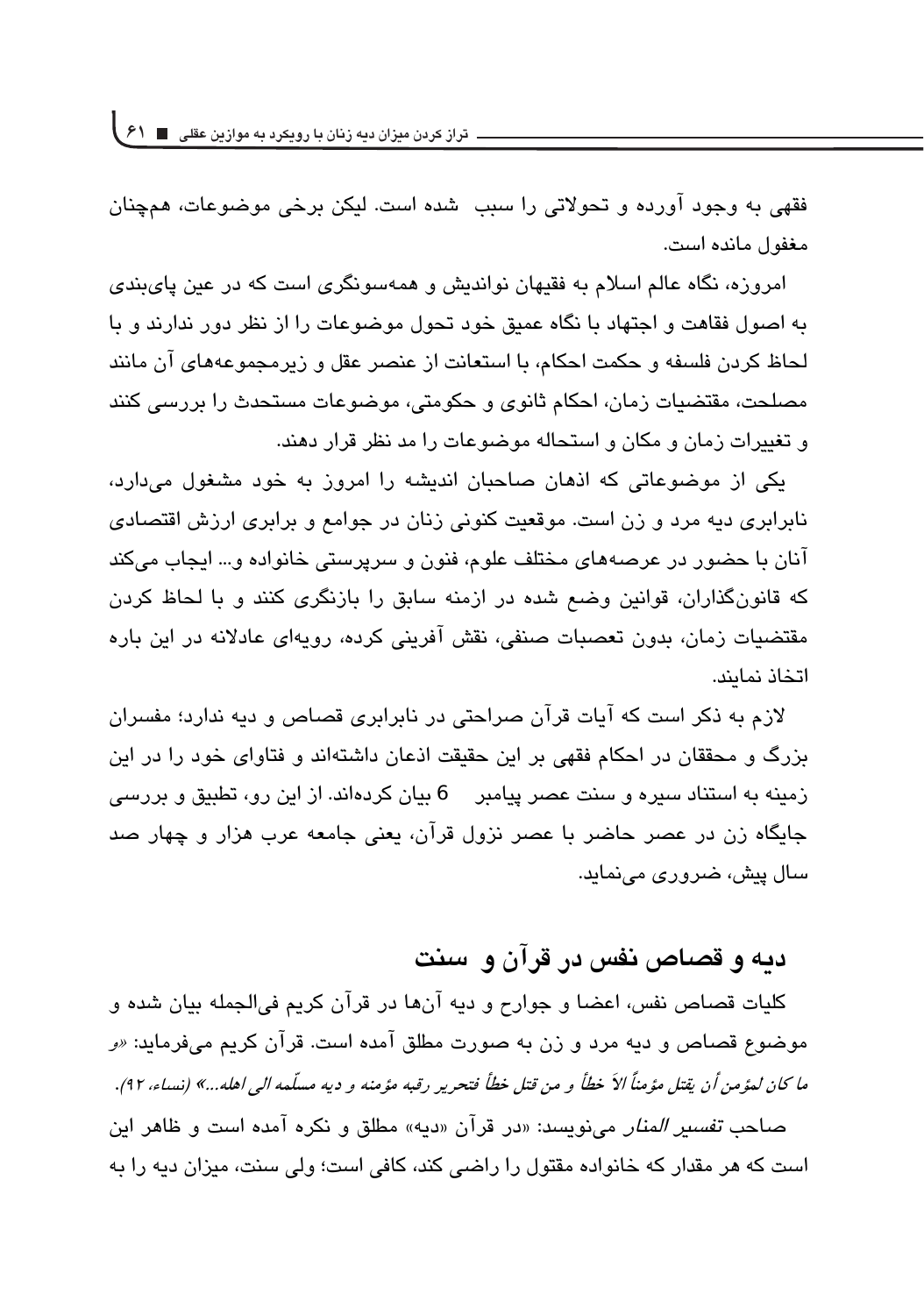**تراز کردن میزان دیه زنان با رویکرد به موازین عقلی 61**

فقهی به وجود آورده و تحولاتی را سبب شده است. لیکن برخی موضوعات، همچنان مغفول مانده است.

امروزه، نگاه عالم اسلام به فقیهان نواندیش و همهسونگری است که در عین پایبندی به اصول فقاهت و اجتهاد با نگاه عمیق خود تجول موضوعات را از نظر دور ندارند و با لحاظ كردن فلسفه و حكمت احكام، با استعانت از عنصر عقل و زيرمجموعههاى آن مانند مصلحت، مقتضیات زمان، احکام ثانوی و حکومتی، موضوعات مستحدث را بررسی کنند و تغییرات زمان و مکان و استحاله موضوعات را مد نظر قرار دهند.

یکی از موضوعاتی که اذهان صاحبان اندیشه را امروز به خود مشغول میدارد، نابرابری دیه مرد و زن است. موقعیت کنونی زنان در جوامع و برابری ارزش اقتصادی آنان با حضور در عرصههای مختلف علوم، فنون و سرپرستی خانواده و… ایجاب میکند که قانونگذاران، قوانین وضع شده در ازمنه سابق را بازنگری کنند و با لحاظ کردن مقتضیات زمان، بدون تعصبات صنفی، نقش آفرینی کرده، رویهای عادلانه در این باره اتخاذ نماىند.

لازم به ذکر است که آیات قرآن صراحتی در نابرابری قصاص و دیه ندارد؛ مفسران بزرگ و محققان در احکام فقهی بر این حقیقت اذعان داشتهاند و فتاوای خود را در این زمینه به استناد سیره و سنت عصر پیامبر 6 بیان کردهاند. از این رو، تطبیق و بررسی جايگاه زن در عصر حاضر با عصر نزول قرآن، يعني جامعه عرب هزار و چهار صد سال پیش، ضروری مے نماید.

## دبه و قصاص نفس در قرآن و اسنت

كليات قصاص نفس، اعضا و جوارح و ديه آنها در قرآن كريم فيالجمله بيان شده و موضوع قصاص و دیه مرد و زن به صورت مطلق آمده است. قرآن کریم میفرماید: *«و ما كان لمؤمن أن يقتل مؤمناً الأ خطأ و من قتل خطأ فتحرير رقبه مؤمنه و ديه مسلّمه ال<sub>ى</sub> اهله...» (نساء، ٩٢).* صاحب *تفسير المنار* مي نويسد: «در قرآن «ديه» مطلق و نكره آمده است و ظاهر اين است که هر مقدار که خانواده مقتول را راضی کند، کافی است؛ ولی سنت، میزان دیه را به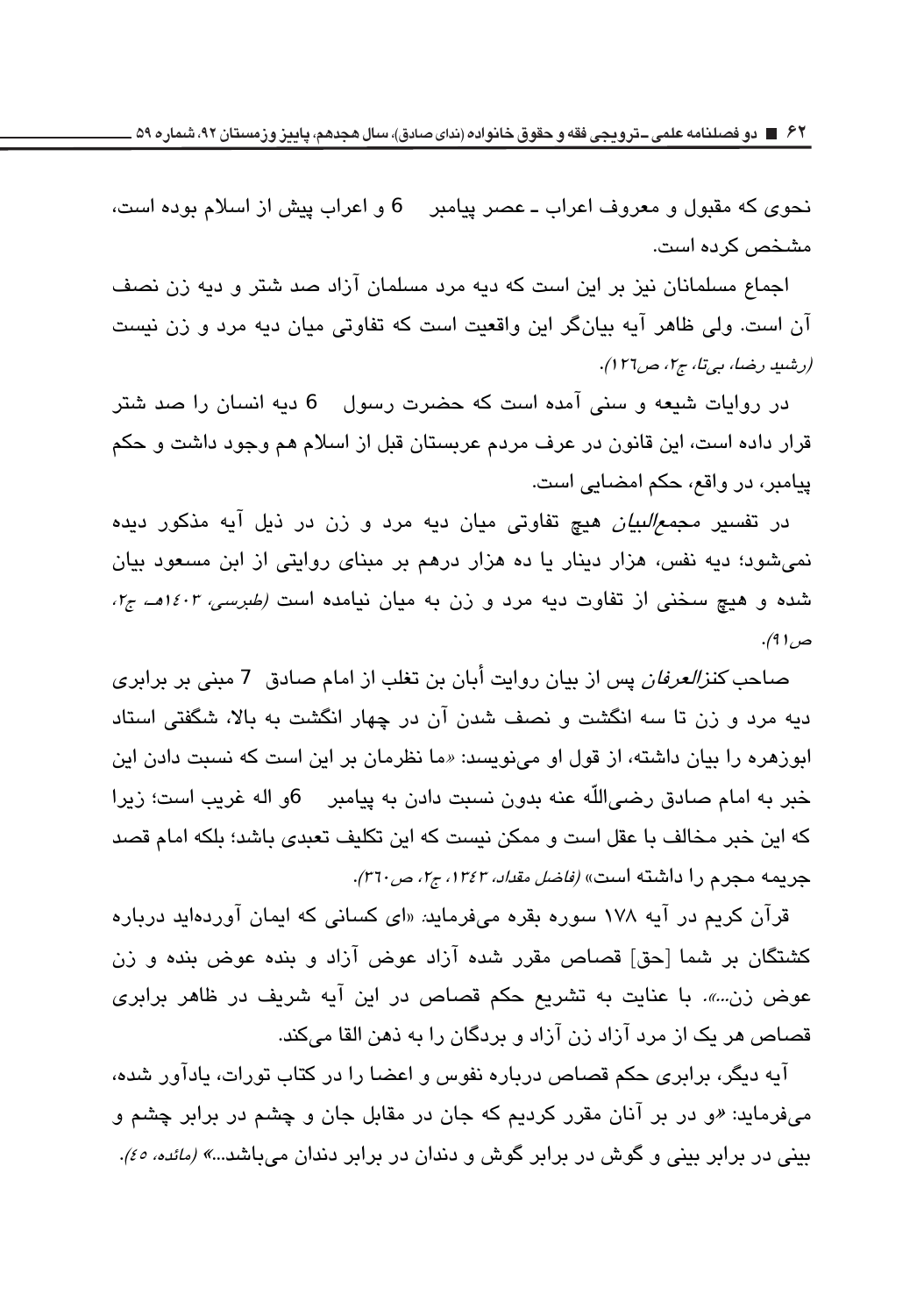نحوي كه مقبول و معروف اعراب ـ عصر پيامبر ـ 6 و اعراب پيش از اسلام بوده است، مشخص کر دہ است.

اجماع مسلمانان نیز بر این است که دیه مرد مسلمان آزاد صد شتر و دیه زن نصف آن است. ولی ظاهر آیه بیانگر این واقعیت است که تفاوتی میان دیه مرد و زن نسبت (رشيد رضا، بي تا، ج٢، ص١٢٦).

در روایات شیعه و سنی آمده است که حضرت رسول  $\Theta$  دیه انسان را صد شتر قرار داده است، این قانون در عرف مردم عربستان قبل از اسلام هم وجود داشت و حکم پیامبر، در واقع، حکم امضایی است.

در تفسیر *مجمع البیان ه*یچ تفاوتی میان دیه مرد و زن در ذیل آیه مذکور دیده نمیشود؛ دیه نفس، هزار دینار یا ده هزار درهم بر مبنای روایتی از ابن مسعود بیان شده و هیچ سخنی از تفاوت دیه مرد و زن به میان نیامده است *(طبرسی، ۱٤۰۳هـ، ج۱،* ص ( ۹).

صاحب *كنزالعرفان* يس از بيان روايت أبان بن تغلب از امام صادق 7 مبنى بر برابرى دیه مرد و زن تا سه انگشت و نصف شدن آن در چهار انگشت به بالا، شگفتی استاد ابوزهره را بیان داشته، از قول او مینویسد: «ما نظرمان بر این است که نسبت دادن این خبر به امام صادق رضي|للّه عنه بدون نسبت دادن به پيامبر \_ 6و اله غريب است؛ زيرا كه اين خبر مخالف با عقل است و ممكن نيست كه اين تكليف تعبدي باشد؛ بلكه امام قصد جريمه مجرم را داشته است» *(فاضل مقداد، ١٣٤٣، ج٢، ص٣٦٠)*.

قرآن کریم در آیه ۱۷۸ سوره بقره میفرماید: «ای کسانی که ایمان آوردهاید درباره كشتگان بر شما [حق] قصاص مقرر شده آزاد عوض آزاد و بنده عوض بنده و زن عوض زن...». با عنایت به تشریع حکم قصاص در این آیه شریف در ظاهر برابری قصاص هر يک از مرد آزاد زن آزاد و بردگان را به ذهن القا میکند.

آیه دیگر، برابری حکم قصاص درباره نفوس و اعضا را در کتاب تورات، یادآور شده، میفرماید: «و در بر آنان مقرر کردیم که جان در مقابل جان و چشم در برابر چشم و بيني در برابر بيني و گوش در برابر گوش و دندان در برابر دندان ميباشد...*» (مائده، ٤٥).*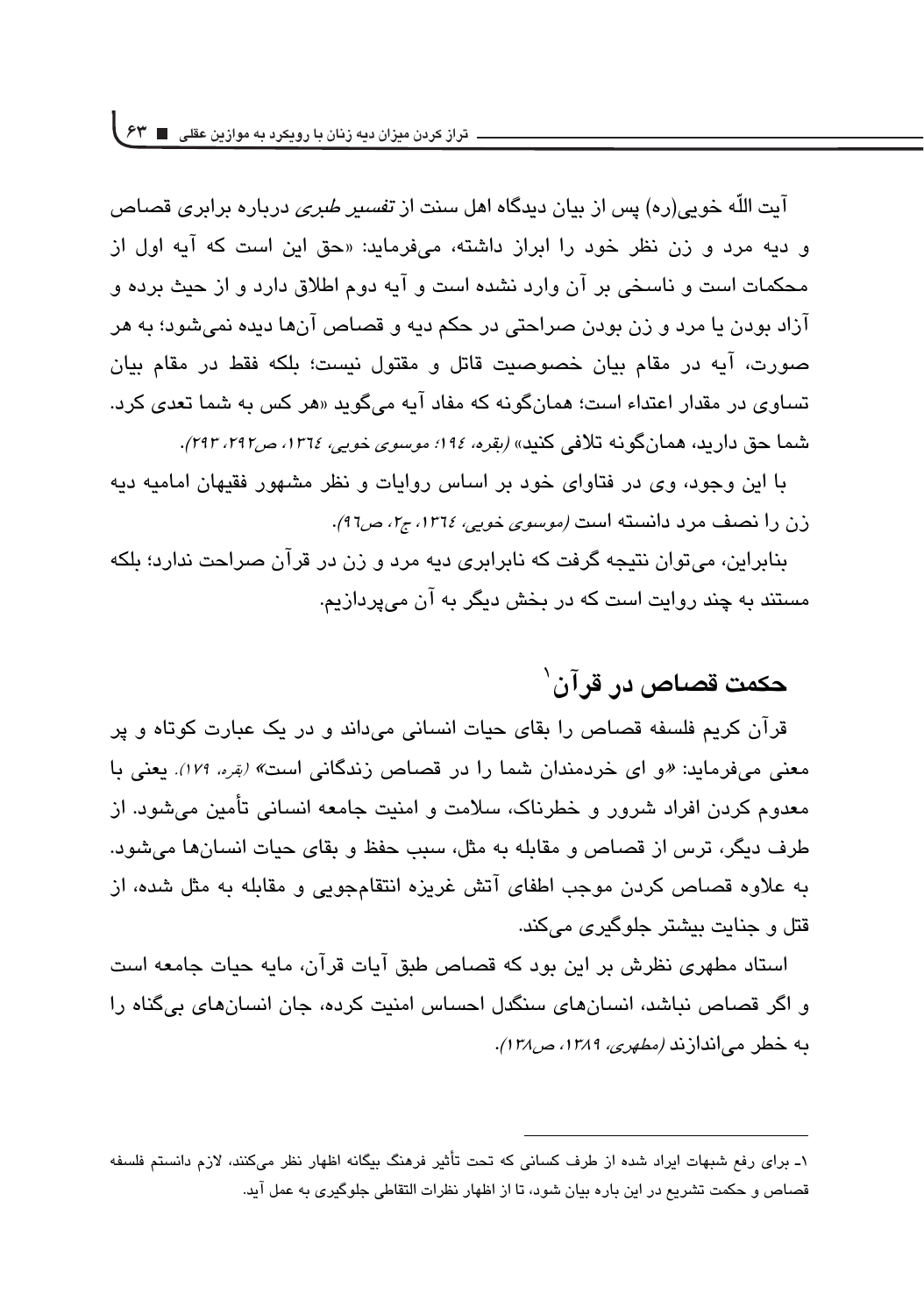**تراز کردن میزان دیه زنان با رویکرد به موازین عقلی 63**

آیت اللّه خوبے <sub>،</sub>(رہ) پس از بیان دیدگاہ اھل سنت از *تفسیر طبری د*ربارہ برابری قصاص و دیه مرد و زن نظر خود را ابراز داشته، میفرماید: «حق این است که آیه اول از محکمات است و ناسخی بر آن وارد نشده است و آیه دوم اطلاق دارد و از حیث برده و آزاد بودن با مرد و زن بودن صراحتی در حکم دبه و قصاص آنها دیده نمی شود؛ به هر صورت، آیه در مقام بیان خصوصیت قاتل و مقتول نیست؛ بلکه فقط در مقام بیان تساوی در مقدار اعتداء است؛ همانگونه که مفاد آبه میگوید «هر کس به شما تعدی کرد. شما حق دارید، همانگونه تلافی کنید» *(بقره، ۱۹۶؛ موسوی خوبی، ۱۳۱۶، ص۲۹۲، ۲۹۲)*.

با این وجود، وی در فتاوای خود بر اساس روایات و نظر مشهور فقیهان امامیه دیه زن را نصف مرد دانسته است *(موسوى خوبى، ١٣٦٤، ج٢، ص*41).

بنابراین، می توان نتیجه گرفت که نابرابری دیه مرد و زن در قرآن صراحت ندارد؛ بلکه مستند به چند روایت است که در بخش دیگر به آن میپردازیم.

## **حكمت قصاص در قرآن**`

قرآن کریم فلسفه قصاص را بقای حیات انسانی میداند و در یک عبارت کوتاه و پر معنی میفرماید: «و ای خردمندان شما را در قصاص زندگانی است*» (<sub>ن</sub>قره، ۱۷۹).* یعنی با معدوم کردن افراد شرور و خطرناک، سلامت و امنیت جامعه انسانی تأمین میشود. از طرف ديگر، ترس از قصاص و مقابله به مثل، سبب حفظ و بقای حیات انسانها می شود. به علاوه قصاص کردن موجب اطفای آتش غریزه انتقامجویی و مقابله به مثل شده، از قتل و جنایت بیشتر جلوگیر*ی* میکند.

استاد مطهری نظرش بر این بود که قصاص طبق آیات قرآن، مایه حیات جامعه است و اگر قصاص نباشد، انسان های سنگدل احساس امنیت کرده، جان انسان های بی گناه را به خطر می|ندازند *(مطهری، ۱۳۸۹، ص۱۳۸)*.

<sup>1</sup>ـ برای رفع شبهات ایراد شده از طرف کسانی که تحت تأثیر فرهنگ بیگانه اظهار نظر میکنند، لازم دانستم فلسفه قصاص و حکمت تشریع در این باره بیان شود، تا از اظهار نظرات التقاطی جلوگیری به عمل آید.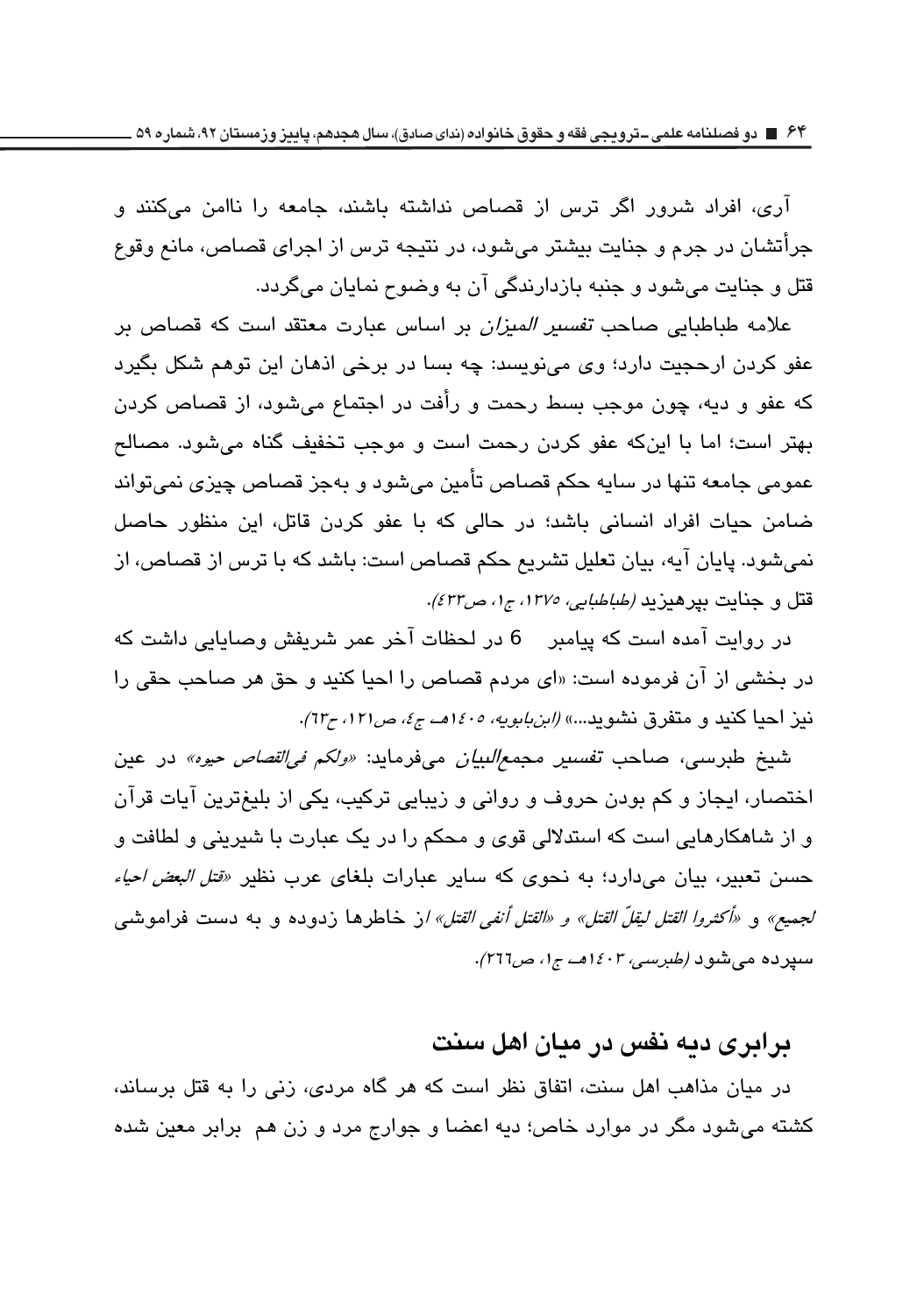آری، افراد شرور اگر ترس از قصاص نداشته باشند، جامعه را ناامن میکنند و جرأتشان در جرم و جنایت بیشتر میشود، در نتیجه ترس از اجرای قصاص، مانع وقوع قتل و جنایت می شود و جنبه بازدارندگی آن به وضوح نمایان می گردد.

علامه طباطیایی صاحب *تفسیر المیزان* بر اساس عبارت معتقد است که قصاص بر عفو کردن ارحجیت دارد؛ وی مینویسد: چه بسا در برخی اذهان این توهم شکل بگیرد که عفو و دیه، چون موجب بسط رحمت و رأفت در اجتماع میشود، از قصاص کردن بهتر است؛ اما با اینکه عفو کردن رحمت است و موجب تخفیف گناه میشود. مصالح عمومی جامعه تنها در سایه حکم قصاص تأمین می،شود و بهجز قصاص چیزی نمی،تواند ضامن حیات افراد انسانی باشد؛ در حالی که با عفو کردن قاتل، این منظور حاصل نمیشود. پایان آیه، بیان تعلیل تشریع حکم قصاص است: باشد که با ترس از قصاص، از قتل و جنايت بيرهيزيد *(طباطبايي، ١٣٧٥، ج۱، ص٤٣٢)*.

در روایت آمده است که پیامبر 6 در لحظات آخر عمر شریفش وصابایی داشت که در بخشی از آن فرموده است: «ای مردم قصاص را احیا کنید و حق هر صاحب حقی را نیز احیا کنید و متفرق نشوید...» *(ابنبابویه، ۱۶۰۰هــ ج٤، ص۱۲۱، ج٦*۳).

شيخ طبرسي، صاحب ت*فسير مجمع|لبيان مي*فرمايد: *«ولكم في|لقصاص حيوه»* در عين اختصار، ايجاز و كم بودن حروف و رواني و زيبايي تركيب، يكي از بليغترين آيات قرآن و از شاهکارهایی است که استدلالی قوی و محکم را در یک عبارت با شیرینی و لطافت و حسن تعبیر، بیان میدارد؛ به نحوی که سایر عبارات بلغای عرب نظیر *«قتل البعض احیاء لجميع»* و *«أكثروا القتل ليقلّ القتل» و «القتل أنفي القتل» ا*ز خاطرها زدوده و به دست فراموشي سپرده میشود *(طبرسی، ۱٤۰۳هـ، ج۱، ص۲*۱7).

### <u>در ادری دیه نفس در میان اهل سنت</u>

در میان مذاهب اهل سنت، اتفاق نظر است که هر گاه مردی، زنی را به قتل برساند، کشته میشود مگر در موارد خاص؛ دیه اعضا و جوارج مرد و زن هم برابر معین شده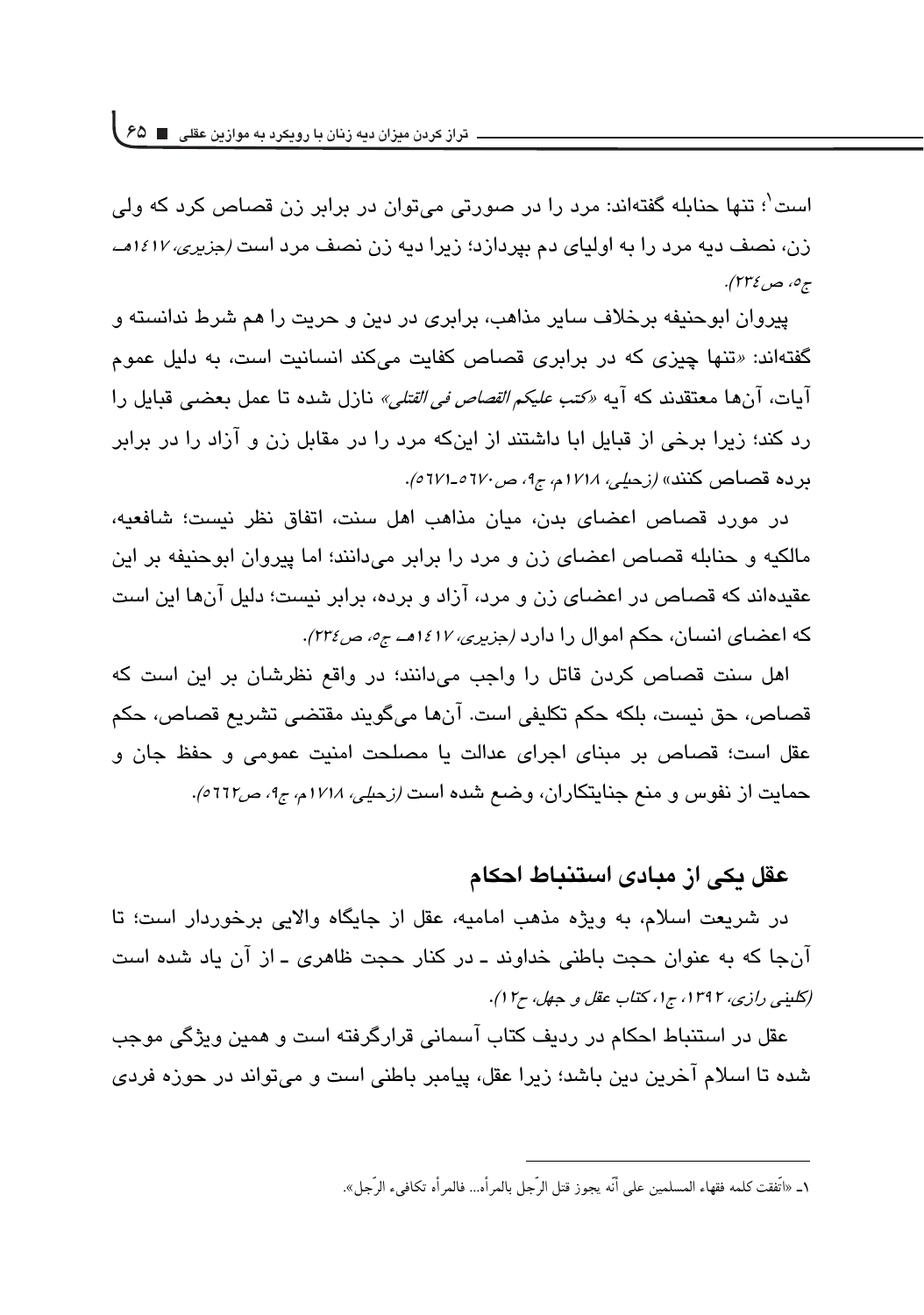است<sup>'</sup>؛ تنها حناىله گفتهاند: مرد را در صورتى مى توان در برابر زن قصاص كرد كه ول*ى* زن، نصف دیه مرد را به اولیای دم بیردازد؛ زیرا دیه زن نصف مرد است *(جزیری، ۱۶۱۷هـ*، ج0، ص ٢٣٤).

یپروان ابوحنیفه برخلاف سایر مذاهب، برابری در دین و حریت را هم شرط ندانسته و گفتهاند: «تنها چیزی که در برابری قصاص کفایت میکند انسانیت است، به دلیل عمو<u>م</u> آيات، آنها معتقدند كه آيه *«كتب عليكم القصاص في القتلي»* نازل شده تا عمل بعضبي قبايل را رد کند؛ زیرا برخی از قبایل ابا داشتند از اینکه مرد را در مقابل زن و آزاد را در برابر برده قصاص كنند» *(زحلي، ١٧١٨م، ج1، ص٦٧٠-١٧١٥).* 

در مورد قصاص اعضای بدن، میان مذاهب اهل سنت، اتفاق نظر نیست؛ شافعیه، مالکیه و حنابله قصاص اعضای زن و مرد را برابر میدانند؛ اما پیروان ابوحنیفه بر این عقیدهاند که قصاص در اعضای زن و مرد، آزاد و برده، برابر نیست؛ دلیل آنها این است که اعضای انسان، حکم اموال را دارد *(جزیری، ۱۶۱۷هـ، ج۰، ص۲۳٤)*.

اهل سنت قصاص كردن قاتل را واجب مى دانند؛ در واقع نظرشان بر این است كه قصاص، حق نيست، بلكه حكم تكليفي است. آنها ميگويند مقتضى تشريع قصاص، حكم عقل است؛ قصاص بر مبناى اجراى عدالت يا مصلحت امنيت عمومى و حفظ جان و حمایت از نفوس و منع جنایتکاران، وضع شده است *(ز*ح*یلی، ۱۷۱۸م، ج۹، ص*1717).

## عقل یکی از مبادی اس**تنباط احکام**

در شریعت اسلام، به ویژه مذهب امامیه، عقل از جایگاه والایی برخوردار است؛ تا آنجا که به عنوان حجت باطنی خداوند ـ در کنار حجت ظاهری ـ از آن یاد شده است *(کلینی رازی، ۱۳۹۲، ج۱، کتاب عقل و جهل، ح۱۲)*.

عقل در استنباط احکام در ردیف کتاب آسمانی قرارگرفته است و همین ویژگی موجب شده تا اسلام آخرین دین باشد؛ زیرا عقل، پیامبر باطنی است و می،تواند در حوزه فردی

١ـ «اتفقت كلمه فقهاء المسلمين على انه يجوز قتل الرجل بالمراه... فالمراه تكافيء الرجل». --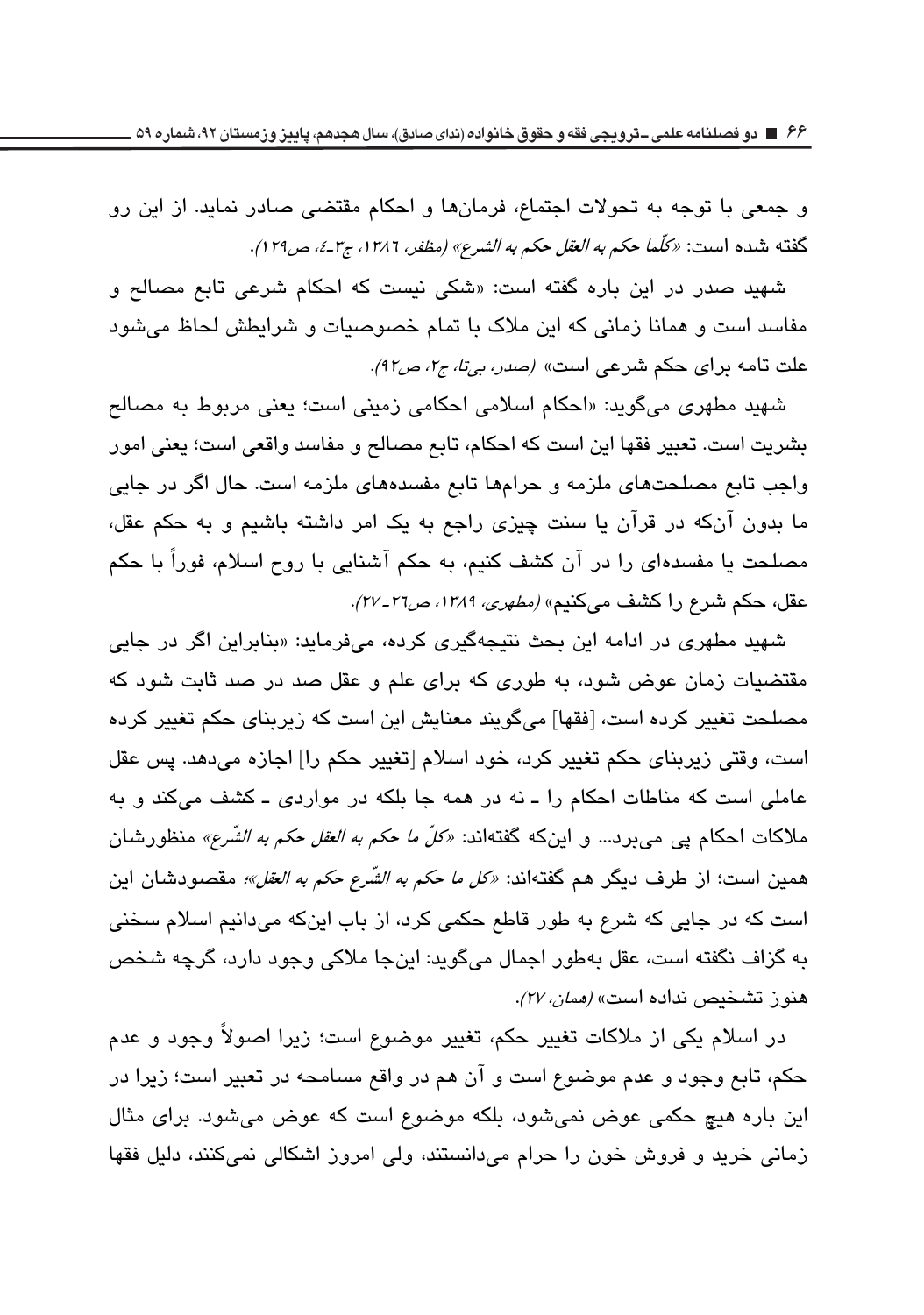و جمعی با توجه به تحولات اجتماع، فرمانها و احکام مقتضی صادر نماید. از این رو گفته شده است: «كَلّما حكم *به العقل حكم به الشرع» (مظفر، ١٣٨٦، ج*٣*ـ٤، ص٢٩١).* 

شهید صدر در این باره گفته است: «شکی نیست که احکام شرعی تابع مصالح و مفاسد است و همانا زمانی که این ملاک با تمام خصوصیات و شرایطش لحاظ میشود علت تامه براي حكم شرعي است» (ص*در، بي تا، ج١، ص٩٢)*.

شهید مطهری میگوید: «احکام اسلامی احکامی زمینی است؛ یعنی مربوط به مصالح بشريت است. تعبير فقها اين است كه احكام، تابع مصالح و مفاسد واقعى است؛ يعني امور واجب تابع مصلحتهای ملزمه و حرامها تابع مفسدههای ملزمه است. حال اگر در جایی ما بدون آنکه در قرآن یا سنت چیزی راجع به یک امر داشته باشیم و به حکم عقل، مصلحت یا مفسدهای را در آن کشف کنیم، به حکم آشنایی با روح اسلام، فوراً با حکم عقل، حكم شرع را كشف مي كنيم» *(مطهري، ١٣٨٩، ص٢٦-٢٧)*.

شهید مطهری در ادامه این بحث نتیجهگیری کرده، میفرماید: «بنابراین اگر در جایی مقتضیات زمان عوض شود، به طوری که برای علم و عقل صد در صد ثابت شود که مصلحت تغییر کرده است، [فقها] میگویند معنایش این است که زیربنای حکم تغییر کرده است، وقتی زیربنای حکم تغییر کرد، خود اسلام [تغییر حکم را] اجازه می دهد. پس عقل عاملی است که مناطات احکام را ـ نه در همه جا بلکه در مواردی ـ کشف میکند و به ملاکات احکام پی می،برد… و اینکه گفتهاند: *«کلّ ما حکم به العقل حکم به الشّرع»* منظورشان همین است؛ از طرف دیگر هم گفتهاند: *«کل ما حکم به الشّرع حکم به العقل»؛* مقصودشان این است که در جایی که شرع به طور قاطع حکمی کرد، از باب اینکه میدانیم اسلام سخنی به گزاف نگفته است، عقل بهطور اجمال میگوید: اینجا ملاکی وجود دارد، گرچه شخص هنون تشخيص نداده است» *(ممان، ٢٧).* 

در اسلام یکی از ملاکات تغییر حکم، تغییر موضوع است؛ زیرا اصولاً وجود و عدم حکم، تابع وجود و عدم موضوع است و آن هم در واقع مسامحه در تعبیر است؛ زیرا در این باره هیچ حکمی عوض نمیشود، بلکه موضوع است که عوض میشود. برای مثال زمانی خرید و فروش خون را حرام میدانستند، ولی امروز اشکالی نمیکنند، دلیل فقها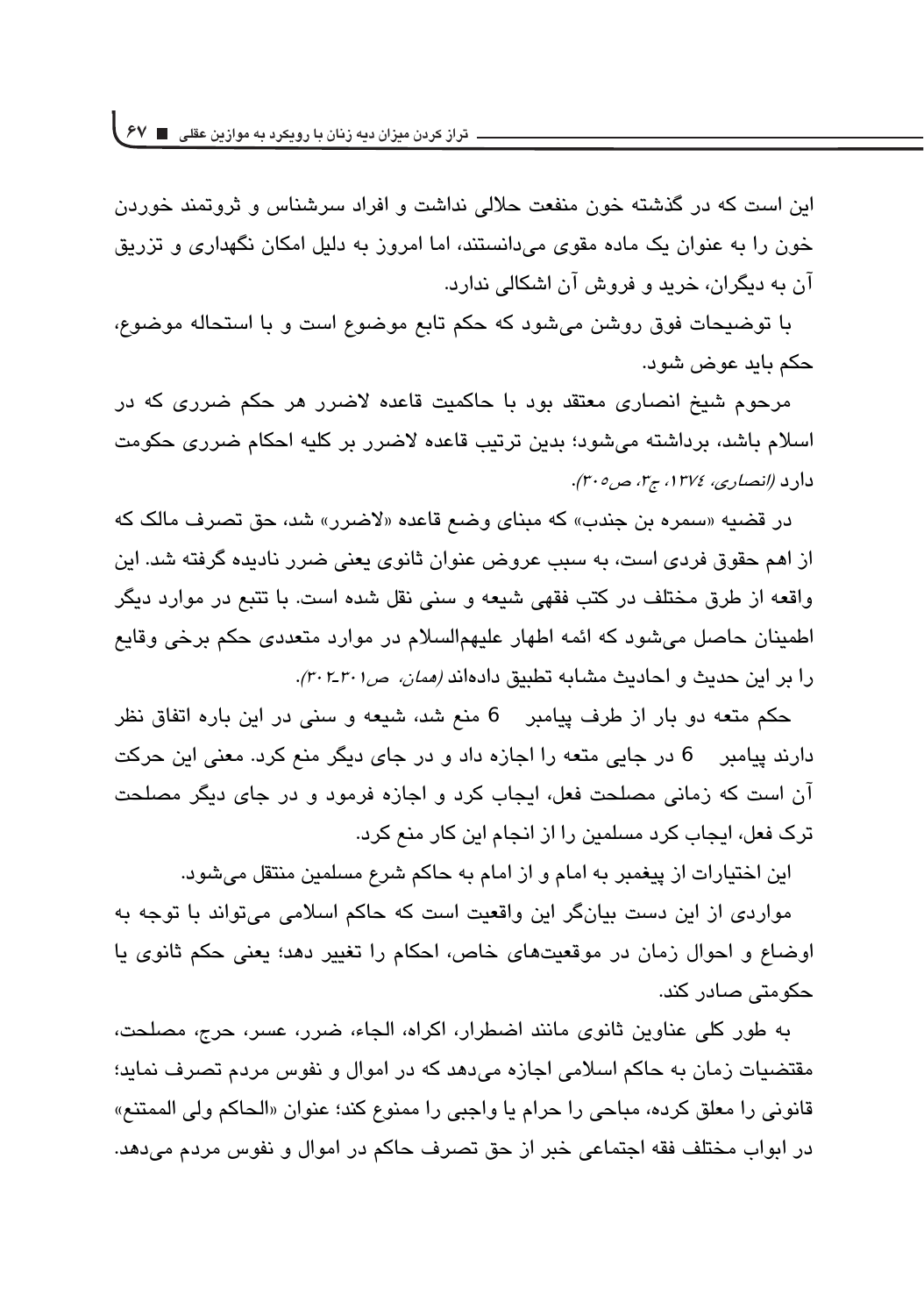این است که در گذشته خون منفعت حلالی نداشت و افراد سرشناس و ثروتمند خوردن خون را به عنوان یک ماده مقوی می،دانستند، اما امروز به دلیل امکان نگهداری و تزریق آن به دیگران، خرید و فروش آن اشکالی ندارد.

با توضیحات فوق روشن میشود که حکم تابع موضوع است و با استحاله موضوع، حکم باید عوض شود.

مرحوم شيخ انصاري معتقد بود با حاكميت قاعده لاضرر هر حكم ضررى كه در اسلام باشد، برداشته می شود؛ بدین ترتیب قاعده لاضرر بر کلیه احکام ضرری حکومت دارد (انصاری، ١٣٧٤، ج٣، ص٣٠٥).

در قضيه «سمره بن جندب» كه مبناي وضع قاعده «لاضرر» شد، حق تصرف مالك كه از اهم حقوق فردی است، به سبب عروض عنوان ثانوی یعنی ضرر نادیده گرفته شد. این واقعه از طرق مختلف در كتب فقهي شيعه و سني نقل شده است. با تتبع در موارد ديگر اطمینان حاصل میشود که ائمه اطهار علیهمالسلام در موارد متعددی حکم برخی وقایع را بر این حدیث و احادیث مشابه تطبیق دادهاند *(ممان، ص٢٠١-٣٠٢).* 

حکم متعه دو بار از طرف پیامبر 6 منع شد، شیعه و سنی در این باره اتفاق نظر دارند پیامبر 6 در جایی متعه را اجازه داد و در جای دیگر منع کرد. معنی این حرکت آن است که زمانی مصلحت فعل، ایجاب کرد و اجازه فرمود و در جای دیگر مصلحت ترک فعل، ایجاب کرد مسلمین را از انجام این کار منع کرد.

این اختیارات از پیغمبر به امام و از امام به حاکم شرع مسلمین منتقل می شود.

مواردی از این دست بیانگر این واقعیت است که حاکم اسلامی میتواند با توجه به اوضاع و احوال زمان در موقعیتهای خاص، احکام را تغییر دهد؛ یعنی حکم ثانوی یا حکومتی صادر کند.

به طور كلي عناوين ثانوي مانند اضطرار، اكراه، الجاء، ضرر، عسر، حرج، مصلحت، مقتضیات زمان به حاکم اسلامی اجازه میدهد که در اموال و نفوس مردم تصرف نماید؛ قانوني را معلق كرده، مباحي را حرام يا واجبي را ممنوع كند؛ عنوان «الحاكم ولي الممتنع» در ابواب مختلف فقه اجتماعي خبر از حق تصرف حاكم در اموال و نفوس مردم مي دهد.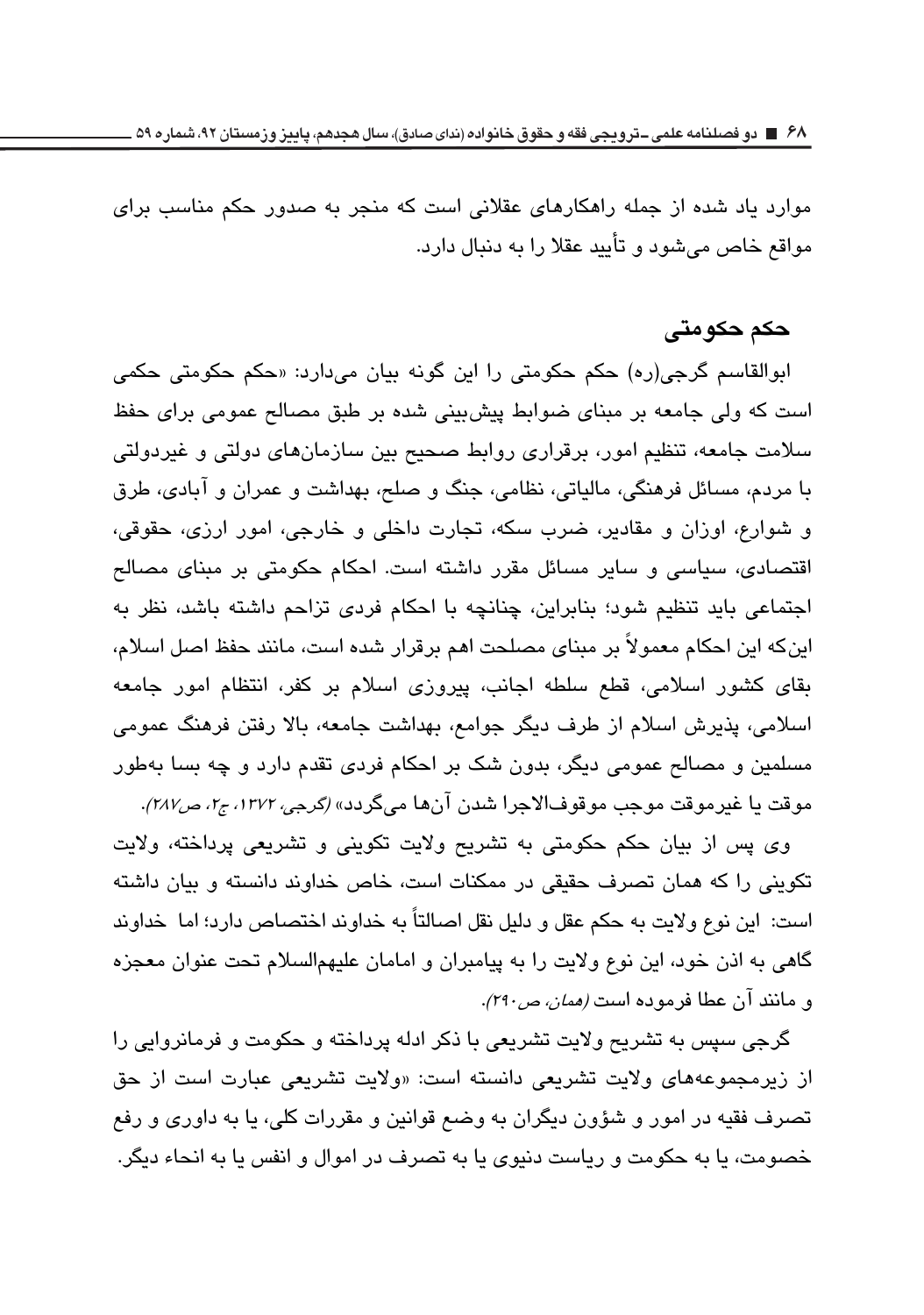موارد یاد شده از جمله راهکارهای عقلانی است که منجر به صدور حکم مناسب برای مواقع خاص ميشود و تأييد عقلا را به دنبال دارد.

#### حکم حکومت*ی*

ابوالقاسم گرجی(ره) حکم حکومتی را این گونه بیان میدارد: «حکم حکومتی حکمی است که ولی جامعه بر مبنای ضوابط پیشبینی شده بر طبق مصالح عمومی برای حفظ سلامت جامعه، تنظیم امور، برقراری روابط صحیح بین سازمانهای دولتی و غیردولتی با مردم، مسائل فرهنگی، مالیاتی، نظامی، جنگ و صلح، بهداشت و عمران و آبادی، طرق و شوارع، اوزان و مقادير، ضرب سكه، تجارت داخلي و خارجي، امور ارزي، حقوقي، اقتصادی، سیاسی و سایر مسائل مقرر داشته است. احکام حکومتی بر مبنای مصالح اجتماعی باید تنظیم شود؛ بنابراین، چنانچه با احکام فردی تزاحم داشته باشد، نظر به اينكه اين احكام معمولاً بر مبناي مصلحت اهم برقرار شده است، مانند حفظ اصل اسلام، بقای کشور اسلامی، قطع سلطه اجانب، پیروزی اسلام بر کفر، انتظام امور جامعه اسلامی، پذیرش اسلام از طرف دیگر جوامع، بهداشت جامعه، بالا رفتن فرهنگ عمومی مسلمین و مصالح عمومی دیگر، بدون شک بر احکام فردی تقدم دارد و چه بسا بهطور موقت یا غیرموقت موجب موقوفالاجرا شدن انها میگردد» *(گرجی، ۱۳۷۲، ج۲، ص۲۸۷)*.

وي پس از بيان حكم حكومتي به تشريح ولايت تكويني و تشريعي پرداخته، ولايت تکوینی را که همان تصرف حقیقی در ممکنات است، خاص خداوند دانسته و بیان داشته است: این نوع ولایت به حکم عقل و دلیل نقل اصالتاً به خداوند اختصاص دارد؛ اما خداوند گاهی به اذن خود، این نوع ولایت را به پیامبران و امامان علیهمالسلام تحت عنوان معجزه و مانن*د ان عطا فرموده است (<i>همان، ص*۲۹۰).

گرجی سپس به تشریح ولایت تشریعی با ذکر ادله پرداخته و حکومت و فرمانروایی را از زیرمجموعههای ولایت تشریعی دانسته است: «ولایت تشریعی عبارت است از حق تصرف فقیه در امور و شؤون دیگران به وضع قوانین و مقررات کلی، یا به داوری و رفع خصومت، يا به حكومت و رياست دنيوي يا به تصرف در اموال و انفس يا به انحاء ديگر.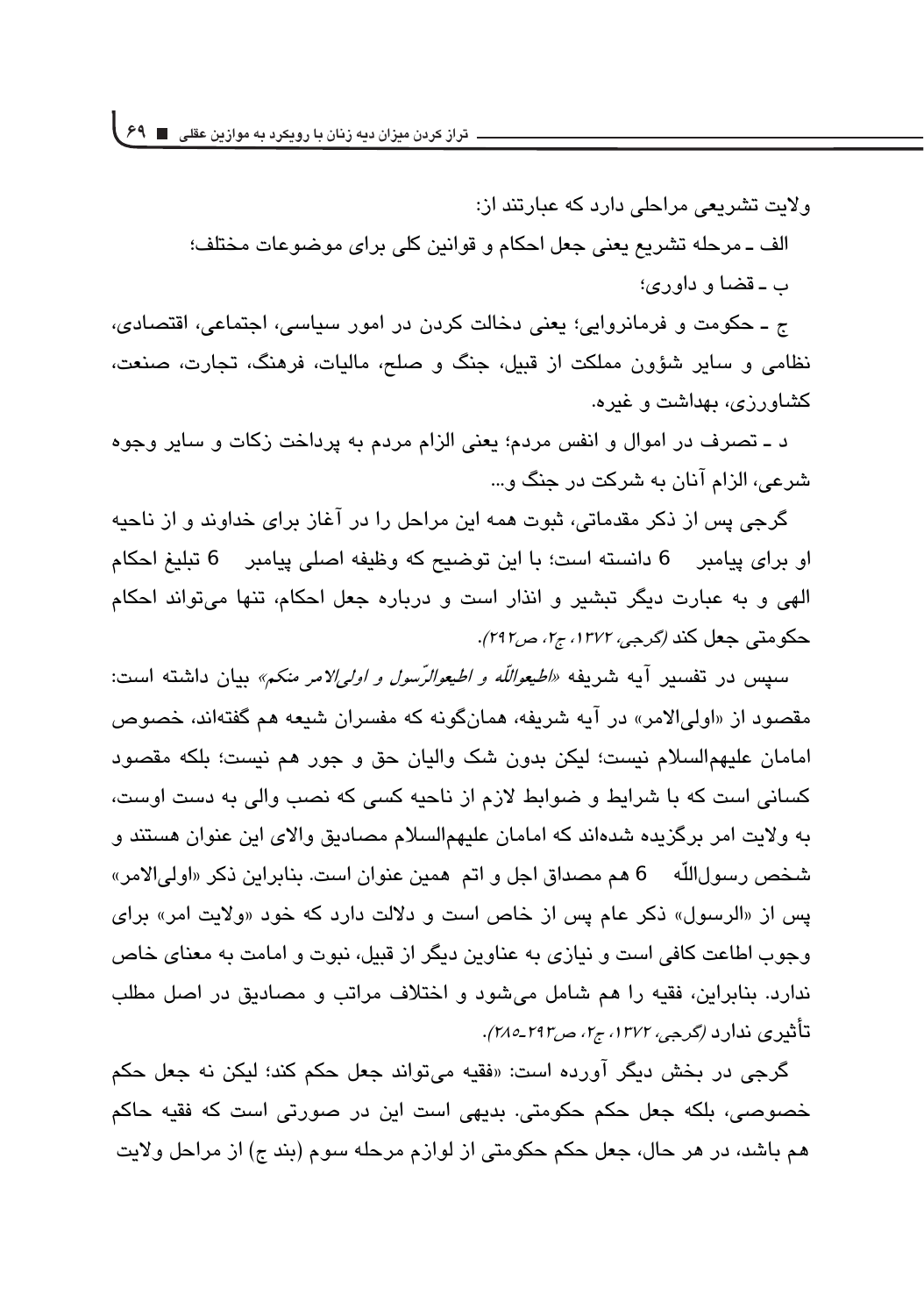ولات تشریعی مراحلی دارد که عبارتند از: الف ــ مرحله تشريع بعني جعل احكام و قوانين كلي براي موضوعات مختلف؛ ب ـ قضا و داوري؛

ج ــ حکومت و فرمانروایی؛ یعنی دخالت کردن در امور سیاسی، اجتماعی، اقتصادی، نظامی و سایر شؤون مملکت از قبیل، جنگ و صلح، مالیات، فرهنگ، تجارت، صنعت، کشاورزی، بهداشت و غیره.

د ـ تصرف در اموال و انفس مردم؛ یعنی الزام مردم به پرداخت زکات و سایر وجوه شرعي، الزام آنان به شركت در جنگ و...

گرجی پس از ذکر مقدماتی، ثبوت همه این مراحل را در آغاز برای خداوند و از ناحیه او براي پيامبر 6 دانسته است؛ با اين توضيح كه وظيفه اصلي پيامبر 6 تبليغ احكام الهی و به عبارت دیگر تبشیر و انذار است و درباره جعل احکام، تنها می تواند احکام حکومتی جعل کند (گرجی، ۱۳۷۲، ج۰، ص۲۹۲).

سبيس در تفسير آيه شريفه *«اطيعواللّه و اطيعوالرّسول و اول<sub>ع</sub>الامر منكم»* بيان داشته است: مقصود از «اولی/لامر» در آیه شریفه، همانگونه که مفسران شیعه هم گفتهاند، خصوص امامان عليهمالسلام نيست؛ ليكن بدون شك واليان حق و جور هم نيست؛ بلكه مقصود کسانی است که با شرایط و ضوابط لازم از ناحیه کسی که نصب والی به دست اوست، به ولايت امر برگزيده شدهاند كه امامان عليهمالسلام مصاديق والاي اين عنوان هستند و شخص رسولاللّه 6 هم مصداق اجل و اتم همین عنوان است. بنابراین ذکر «اولیالامر» پس از «الرسول» ذکر عام پس از خاص است و دلالت دارد که خود «ولایت امر» برای وجوب اطاعت كافي است و نيازي به عناوين ديگر از قبيل، نبوت و امامت به معناي خاص ندارد. بنابراین، فقیه را هم شامل میشود و اختلاف مراتب و مصادیق در اصل مطلب تأثيري ندارد (گرجي ١٣٧٢، ج٢، ص٢٩٢-٢٨٥).

گرجی در بخش دیگر آورده است: «فقیه می تواند جعل حکم کند؛ لیکن نه جعل حکم خصوصی، بلکه جعل حکم حکومتی. بدیهی است این در صورتی است که فقیه حاکم هم باشد، در هر حال، جعل حکم حکومتی از لوازم مرحله سوم (بند ج) از مراحل ولایت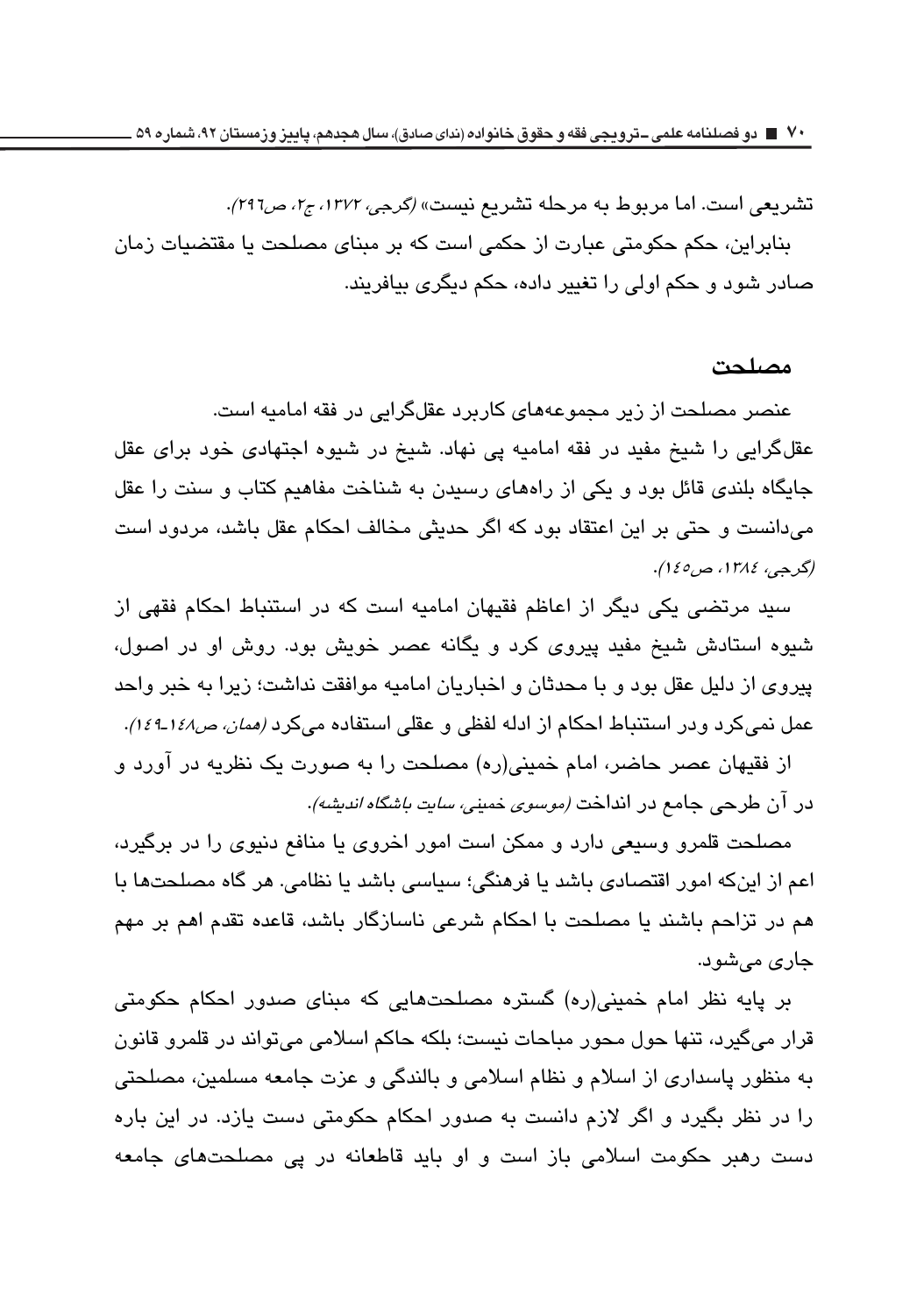تشریعی است. اما مربوط به مرحله تشریع نیست» *(گرجی، ۱۳۷۲، ج۲، ص۲۹*۲). تنابراین، حکم حکومتی عبارت از حکمی است که بر مینای مصلحت یا مقتضیات زمان صادر شود و حکم اولی را تغییر داده، حکم دیگر*ی* بیافریند.

#### مصلحت

عنصر مصلحت از زیر مجموعههای کاربرد عقلگرایی در فقه امامیه است. عقلگرایی را شیخ مفید در فقه امامیه یی نهاد. شیخ در شیوه اجتهادی خود برای عقل جایگاه بلندی قائل بود و یکی از راههای رسیدن به شناخت مفاهیم کتاب و سنت را عقل میدانست و حتی بر این اعتقاد بود که اگر حدیثی مخالف احکام عقل باشد، مردود است *(گرجي، ١٣٨٤، ص٥٤٥).* 

سید مرتضی یکی دیگر از اعاظم فقیهان امامیه است که در استنباط احکام فقهی از شیوه استادش شیخ مفید پیروی کرد و یگانه عصر خویش بود. روش او در اصول، پیروی از دلیل عقل بود و با محدثان و اخباریان امامیه موافقت نداشت؛ زیرا به خبر واحد عمل نمیکرد ودر استنباط احکام از ادله لفظی و عقلی استفاده میکرد *(ممان، ص۱٤۸*-۱٤۴). از فقیهان عصر حاضر، امام خمینی(ره) مصلحت را به صورت یک نظریه در آورد و

در آن طرحی جامع در انداخت *(موسوی خمینی، سایت باشگاه اندیشه)*.

مصلحت قلمرو وسیعی دارد و ممکن است امور اخروی یا منافع دنیوی را در برگیرد، اعم از اینکه امور اقتصادی باشد یا فرهنگی؛ سیاسی باشد یا نظامی. هر گاه مصلحتها با هم در تزاحم باشند یا مصلحت با احکام شرعی ناسازگار باشد، قاعده تقدم اهم بر مهم جار*ی* می شود.

بر پایه نظر امام خمینی(ره) گستره مصلحتهایی که مبنای صدور احکام حکومتی قرار ميگيرد، تنها حول محور مباحات نيست؛ بلكه حاكم اسلامي مي تواند در قلمرو قانون به منظور پاسداری از اسلام و نظام اسلامی و بالندگی و عزت جامعه مسلمین، مصلحتی را در نظر بگیرد و اگر لازم دانست به صدور احکام حکومتی دست یازد. در این باره دست رهبر حکومت اسلامی باز است و او باید قاطعانه در پی مصلحتهای جامعه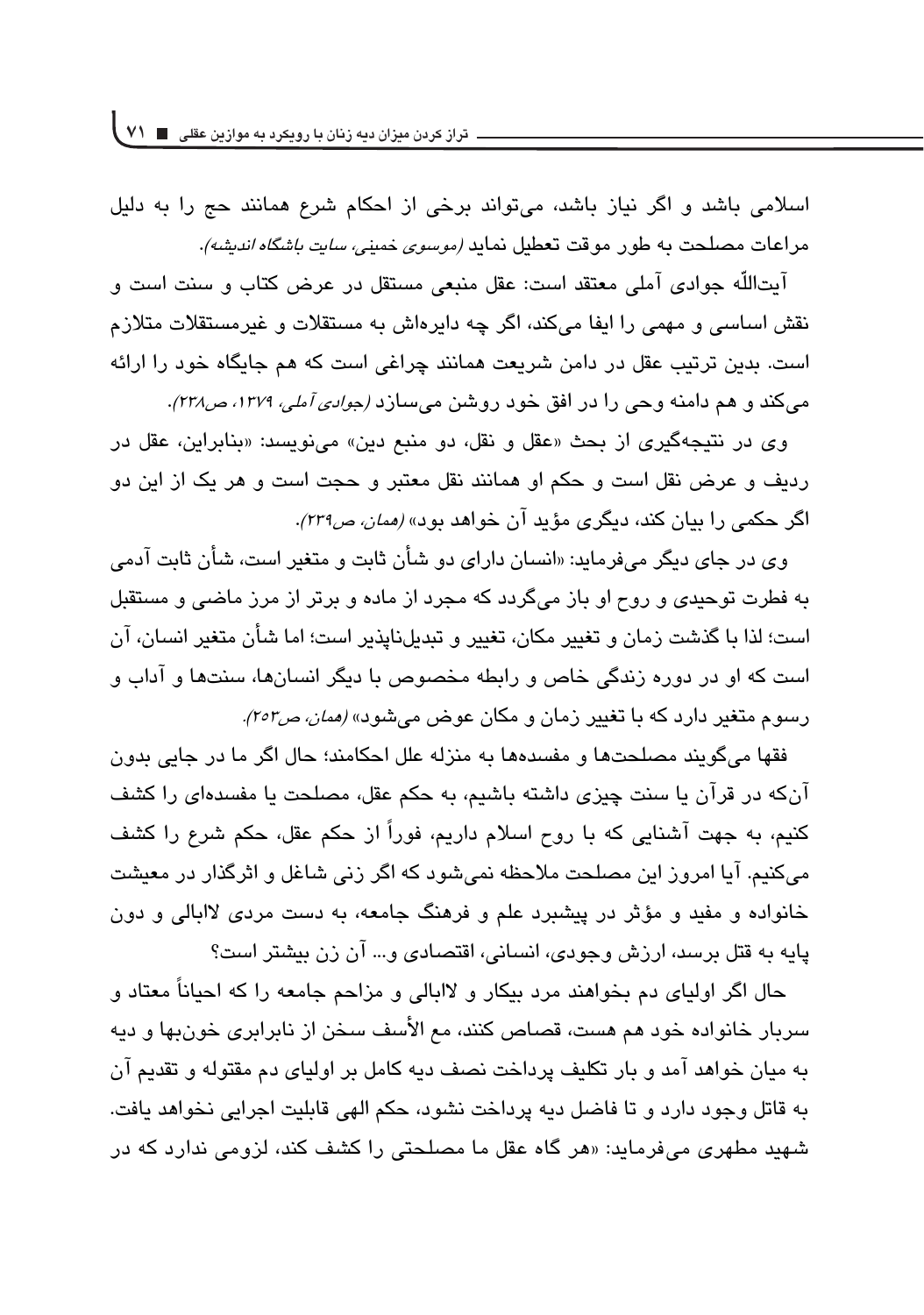اسلامی باشد و اگر نیاز باشد، می تواند برخی از احکام شرع همانند حج را به دلیل مر اعات مصلحت به طو<sub>ر م</sub>وقت تعطیل نماید *(موسوی خمینی، سایت باشگاه اندیشه).* 

آيتاللّه جوادي آملي معتقد است: عقل منبعي مستقل در عرض كتاب و سنت است و نقش اساسی و مهمی را ایفا میکند، اگر چه دایرداش به مستقلات متلازم است. بدین ترتیب عقل در دامن شریعت همانند چراغی است که هم جایگاه خود را ارائه میکند و هم دامنه وحی را در افق خود روشن میسازد *(جوادی آملی، ۱۳۷۹، ص۲۲۸)*.

وي در نتيجهگيري از بحث «عقل و نقل، دو منبع دين» مي نويسد: «بنابراين، عقل در رديف و عرض نقل است و حكم او همانند نقل معتبر و حجت است و هر يک از اين دو اگر حک*می ر*ا بیان کند، دیگری مؤید ان خوا*هد بود» (ممان، ص۲۳۹).* 

وی در جای دیگر میفرماید: «انسان دارای دو شأن ثابت و متغیر است، شأن ثابت آدمی به فطرت توحیدی و روح او باز میگردد که مجرد از ماده و برتر از مرز ماضی و مستقبل است؛ لذا با گذشت زمان و تغییر مکان، تغییر و تبدیلناپذیر است؛ اما شأن متغیر انسان، آن است که او در دوره زندگی خاص و رابطه مخصوص با دیگر انسانها، سنتها و آداب و رسوم متغیر دارد که با تغییر زمان و مکان عوض میشود» *(ممان، ص۲۰۲).* 

فقها ميگويند مصلحتها و مفسدهها به منزله علل احكامند؛ حال اگر ما در جايي بدون آنکه در قرآن یا سنت چیزی داشته باشیم، به حکم عقل، مصلحت یا مفسدهای را کشف کنیم، به جهت آشنایی که با روح اسلام داریم، فوراً از حکم عقل، حکم شرع را کشف میکنیم. آیا امروز این مصلحت ملاحظه نمی شود که اگر زنی شاغل و اثرگذار در معیشت خانواده و مفید و مؤثر در پیشبرد علم و فرهنگ جامعه، به دست مردی لاابالی و دون پایه به قتل برسد، ارزش وجودی، انسانی، اقتصادی و… آن زن بیشتر است؟

حال اگر اولیای دم بخواهند مرد بیکار و لاابالی و مزاحم جامعه را که احیاناً معتاد و سریار خانواده خود هم هست، قصاص کنند، مع الأسف سخن از نابرابری خون،بها و دیه به ميان خواهد آمد و بار تكليف پرداخت نصف ديه كامل بر اولياي دم مقتوله و تقديم آن به قاتل وجود دارد و تا فاضل ديه پرداخت نشود، حكم الهي قابليت اجرايي نخواهد يافت. شهید مطهری میفرماید: «هر گاه عقل ما مصلحتی را کشف کند، لزومی ندارد که در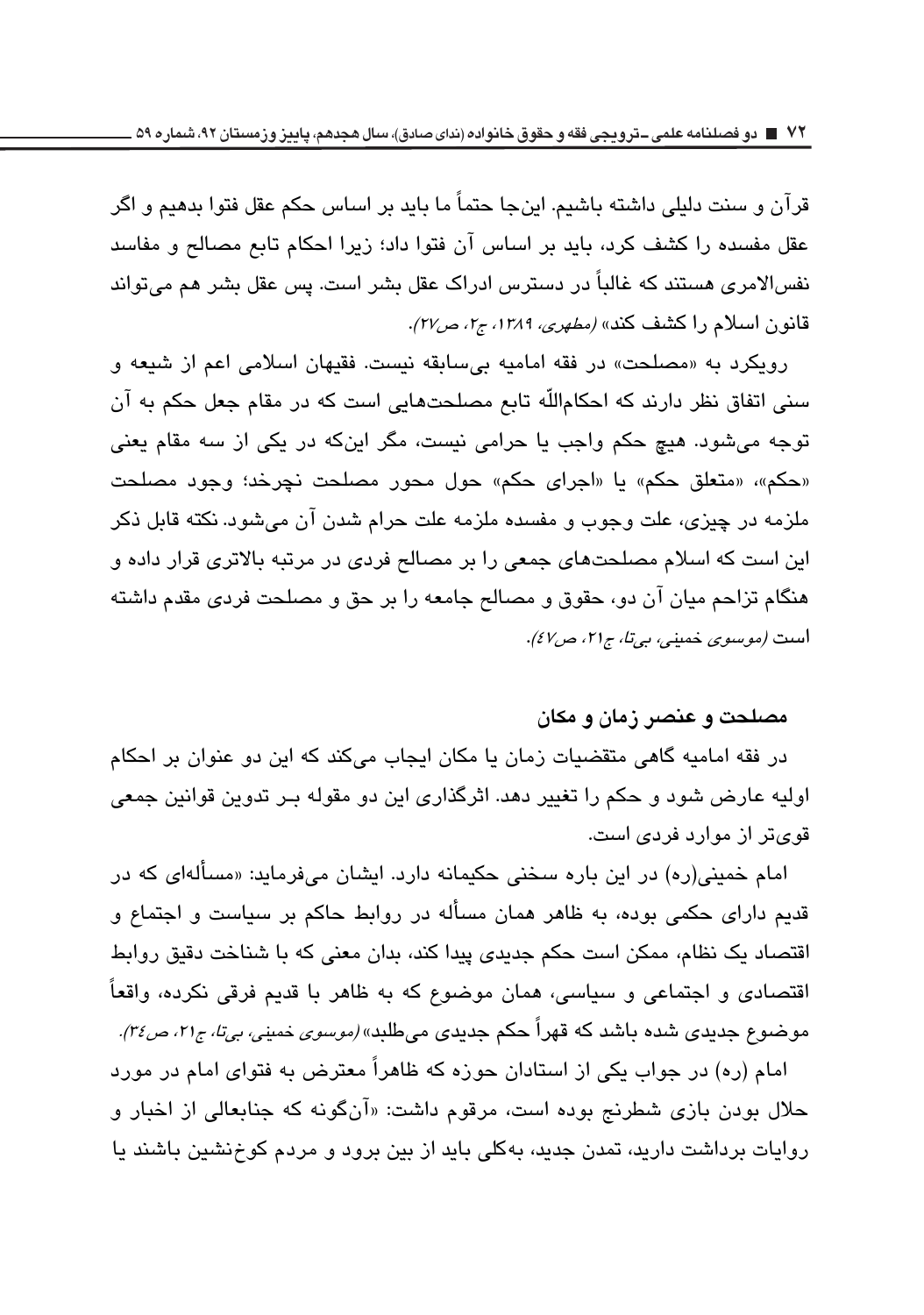قرآن و سنت دليلي داشته باشيم. اينجا حتماً ما بايد بر اساس حكم عقل فتوا بدهيم و اگر عقل مفسده را كشف كرد، بايد بر اساس آن فتوا داد؛ زيرا احكام تابع مصالح و مفاسد ذفس|لامری هستند که غالباً در دسترس ادراک عقل بشر است. پس عقل بشر هم میتواند قانون اسلام را کشف کند» *(مطهری، ۱۳۸۹، ج۲، ص۲۷)*.

رويكرد به «مصلحت» در فقه اماميه بي سابقه نيست. فقيهان اسلامي اعم از شيعه و سنی اتفاق نظر دارند که احکام|للّه تابع مصلحتهایی است که در مقام جعل حکم به آن توجه میشود. هیچ حکم واجب یا حرامی نیست، مگر اینکه در یکی از سه مقام یعنی «حكم»، «متعلق حكم» يا «اجراى حكم» حول محور مصلحت نچرخد؛ وجود مصلحت ملزمه در چیزی، علت وجوب و مفسده ملزمه علت حرام شدن آن میشود. نکته قابل ذکر این است که اسلام مصلحتهای جمعی را بر مصالح فردی در مرتبه بالاتری قرار داده و هنگام تزاحم میان آن دو، حقوق و مصالح جامعه را بر حق و مصلحت فردی مقدم داشته است *(موسوی خمینی، بیتا، ج۲۱، ص۶۷).* 

#### مصلحت و عنصر زمان و مکان

در فقه امامیه گاهی متقضیات زمان یا مکان ایجاب میکند که این دو عنوان بر احکام اولیه عارض شود و حکم را تغییر دهد. اثرگذاری این دو مقوله بـر تدوین قوانین جمعی قویتر از موارد فرد*ی* است.

امام خمینی(ره) در این باره سخنی حکیمانه دارد. ایشان می،فرماید: «مسألهای که در قدیم دارای حکمی بوده، به ظاهر همان مسأله در روابط حاکم بر سیاست و اجتماع و اقتصاد یک نظام، ممکن است حکم جدیدی پیدا کند، بدان معنی که با شناخت دقیق روابط اقتصادی و اجتماعی و سیاسی، همان موضوع که به ظاهر با قدیم فرقی نکرده، واقعاً موضوع جدی*دی* شده باشد که قهرا حکم جدیدی میطلبد» *(موسوی خمینی، بیتا، ج۲۱، ص۳۶).* 

امام (ره) در جواب یکی از استادان حوزه که ظاهراً معترض به فتوای امام در مورد حلال بودن بازی شطرنج بوده است، مرقوم داشت: «آنگونه که جنابعالی از اخبار و روایات برداشت دارید، تمدن جدید، بهکلی باید از بین برود و مردم کوخنشین باشند یا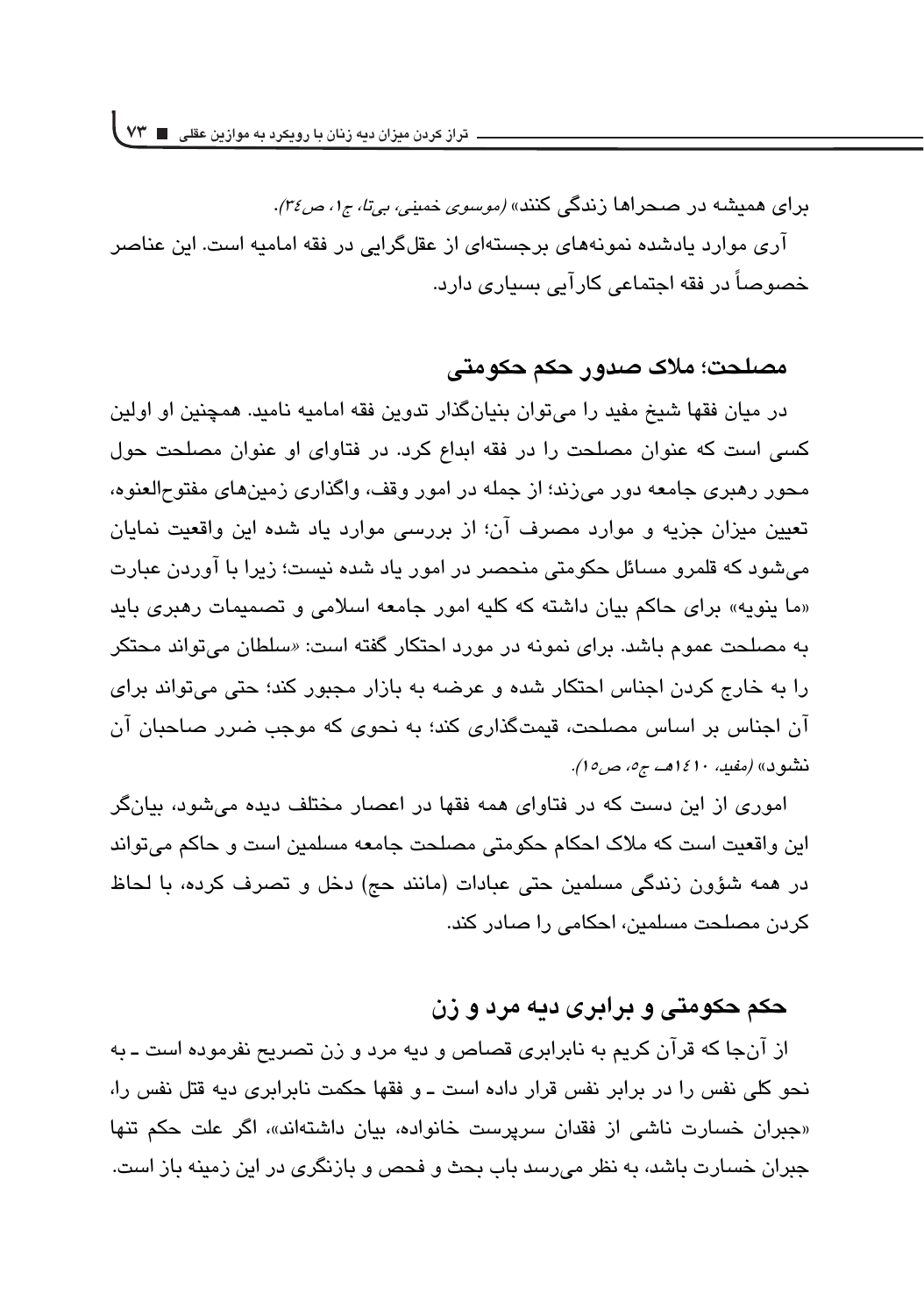برای همیشه در صحراها زندگی کنند» *(موسوی خمینی، بیتا، ج۱، ص۳۶)*. آری موارد پادشده نمونههای پرچستهای از عقلگرایی در فقه امامیه است. این عناصر خصوصاً در فقه اجتماعی کارآبی بسیاری دارد.

## مصلحت؛ ملاک صدور حکم حکومتی

در ميان فقها شيخ مفيد را ميتوان بنيانگذار تدوين فقه اماميه ناميد. همچنين او اولين كسى است كه عنوان مصلحت را در فقه ابداع كرد. در فتاواى او عنوان مصلحت حول محور رهبری جامعه دور می(ند؛ از جمله در امور وقف، واگذاری زمینهای مفتوحالعنوه، تعیین میزان جزیه و موارد مصرف آن؛ از بررسی موارد یاد شده این واقعیت نمایان می شود که قلمرو مسائل حکومتی منحصر در امور یاد شده نیست؛ زیرا با آوردن عبارت «ما ينويه» براي حاكم بيان داشته كه كليه امور جامعه اسلامي و تصميمات رهبري بايد به مصلحت عموم باشد. برای نمونه در مورد احتکار گفته است: «سلطان می تواند محتکر را به خارج كردن اجناس احتكار شده و عرضه به بازار مجبور كند؛ حتى مىتواند براى آن اجناس بر اساس مصلحت، قیمتگذاری کند؛ به نحوی که موجب ضرر صاحبان آن *نتشود» (مفيد، ١٤١٠هـ، ج٥، ص١٥).* 

اموری از این دست که در فتاوای همه فقها در اعصار مختلف دیده می شود، بیانگر این واقعیت است که ملاک احکام حکومتی مصلحت جامعه مسلمین است و حاکم میتواند در همه شؤون زندگی مسلمین حتی عبادات (مانند حج) دخل و تصرف کرده، با لحاظ كردن مصلحت مسلمين، احكامی را صادر كند.

## حکم حکومتی و برابری دیه مرد و زن

از آنجا که قرآن کریم به نابرابری قصاص و دیه مرد و زن تصریح نفرموده است ـ به نحو کلی نفس را در برابر نفس قرار داده است ـ و فقها حکمت نابرابری دیه قتل نفس را، «جبران خسارت ناشی از فقدان سرپرست خانواده، بیان داشتهاند»، اگر علت حکم تنها جبران خسارت باشد، به نظر میرسد باب بحث و فحص و بازنگری در این زمینه باز است.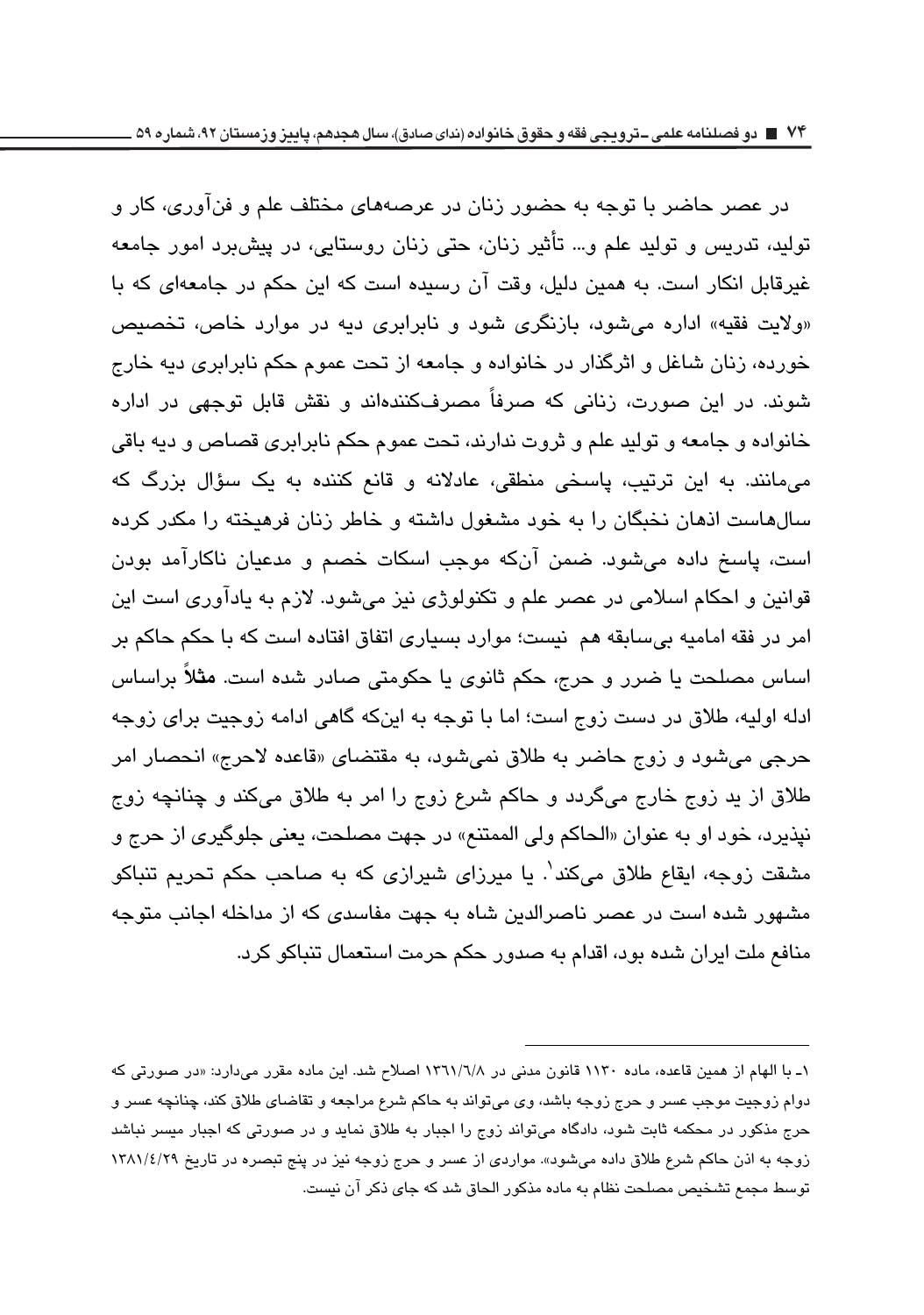در عصر حاضر با توجه به حضور زنان در عرصههای مختلف علم و فنآوری، کار و تولیه، تدریس و تولید علم و… تأثیر زنان، حتی زنان روستایی، در پیش،برد امور جامعه غیرقابل انکار است. به همین دلیل، وقت آن رسیده است که این حکم در جامعهای که با «ولايت فقيه» اداره مى شود، بازنگرى شود و نابرابرى ديه در موارد خاص، تخصيص خورده، زنان شاغل و اثرگذار در خانواده و جامعه از تحت عموم حکم نابرابری دیه خارج شوند. در این صورت، زنانی که صرفاً مصرفکنندهاند و نقش قابل توجهی در اداره خانواده و جامعه و تولید علم و ثروت ندارند، تحت عموم حکم نابرابری قصاص و دیه باقی میمانند. به این ترتیب، پاسخی منطقی، عادلانه و قانع کننده به یک سؤال بزرگ که سالهاست انهان نخبگان را به خود مشغول داشته و خاطر زنان فرهیخته را مکدر کرده است، پاسخ داده میشود. ضمن آنکه موجب اسکات خصم و مدعیان ناکارآمد بودن قوانین و احکام اسلامی در عصر علم و تکنولوژی نیز میشود. لازم به یادآوری است این امر در فقه اماميه بيسابقه هم نيست؛ موارد بسياري اتفاق افتاده است كه با حكم حاكم بر اساس مصلحت یا ضرر و حرج، حکم ثانوی یا حکومتی صادر شده است. **مثلاً** براساس ادله اولیه، طلاق در دست زوج است؛ اما با توجه به اینکه گاهی ادامه زوجیت برای زوجه حرجي مي شود و زوج حاضر به طلاق نمي شود، به مقتضاي «قاعده لاحرج» انحصار امر طلاق از ید زوج خارج میگردد و حاکم شرع زوج را امر به طلاق میکند و چنانچه زوج نيذيرد، خود او به عنوان «الحاكم ولي الممتنع» در جهت مصلحت، يعني جلوگيري از حرج و مشقت زوجه، ایقاع طلاق میکند'. یا میرزای شیرازی که به صاحب حکم تحریم تنباکو مشهور شده است در عصر ناصرالدین شاه به جهت مفاسدی که از مداخله اجانب متوجه منافع ملت ایران شده بود، اقدام به صدور حکم حرمت استعمال تنباکو کرد.

۱ـ با الهام از همین قاعده، ماده ۱۱۳۰ قانون مدنی در ۱۳٦۱/۱/۸ اصلاح شد. این ماده مقرر میدارد: «در صورتی که دوام زوجيت موجب عسر و حرج زوجه باشد، وي ميتواند به حاكم شرع مراجعه و تقاضاي طلاق كند، چنانچه عسر و حرج مذکور در محکمه ثابت شود، دادگاه میتواند زوج را اجبار به طلاق نماید و در صورتی که اجبار میسر نباشد زوجه به اذن حاکم شرع طلاق داده میشود». مواردی از عسر و حرج زوجه نیز در پنج تبصره در تاریخ ۱۳۸۱/٤/۲۹ توسط مجمع تشخیص مصلحت نظام به ماده مذکور الحاق شد که جای ذکر آن نیست.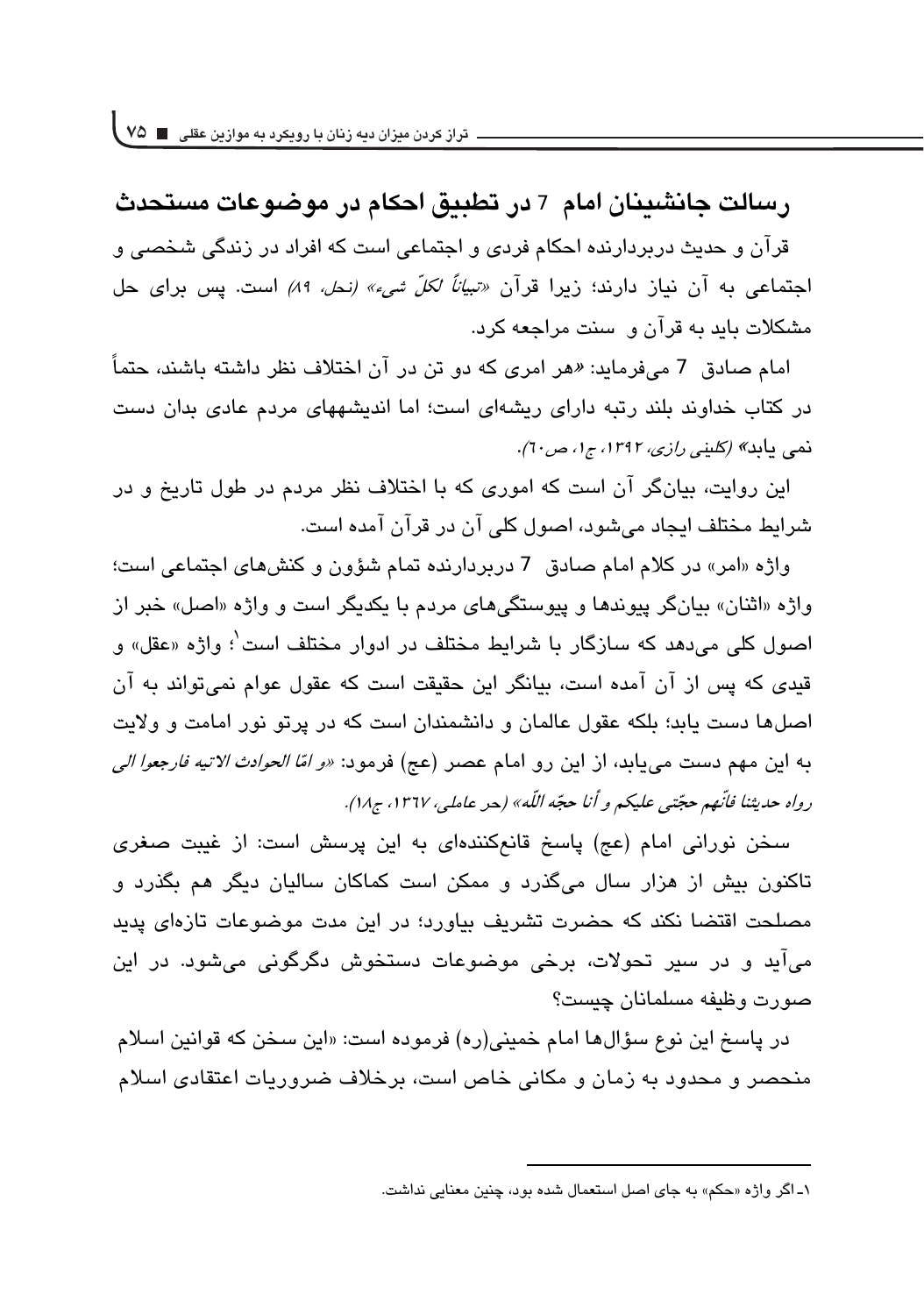رسالت جانشینان امام 7 در تطبیق احکام در موضوعات مستحدث قران و حدیث دربردارنده احکام فردی و اجتماعی است که افراد در زندگی شخص*ی* و اجتماعی به آن نیاز دارند؛ زیرا قرآن *«تیاناً لکلّ شیء» (نحل، ۸۹)* است. پس برای حل مشکلات باید به قران و سنت مراجعه کرد.<br>-

امام صادق 7 میفرماید: *«ه*ر امری که دو تن در ان اختلاف نظر داشته باشند، حتماً در کتاب خداوند بلند رتبه دارای ریشهای است؛ اما اندیشههای مردم عادی بدان دست<br>. نمی یابد*» (کلینی رازی، ۱۳۹۲، ج۱، ص۲۰).*<br>.

این روایت، بیانگر ان است که اموری که با اختلاف نظر مردم در طول تاریخ و در<br>. شرایط مختلف ایجاد میشود، اصول کلی ان در قران امده است.<br>.

واژه «امر» در کلام امام صادق 7 دربردارنده تمام شؤون و کنشهای اجتماعی است؛<br>. واژه «اثنان» بیانگر پیوندها و پیوستگیهای مردم با یکدیگر است و واژه «اصل» خبر از اصول کلی میدهد که سازگار با شرایط مختلف در ادوار مختلف است<sup>'</sup>؛ واژه «عقل» و قیدی که پس از ان امده است، بیانگر این حقیقت است که عقول عوام نمیتواند به ان<br>-اصلها دست یابد؛ بلکه عقول عالمان و دانشمندان است که در پرتو نور امامت و ولایت<br>' به این مهم دست میLبابد، از این رو امام عصر (عج) فرمود: *«و امّا الحوادث الاتیه فارجعوا الی* رواه حديثنا فأنهم حجّت<sub>ى</sub> عليكم و أنا حجّه اللّه» (حر عاملي، ١٣٦٧، ج١٨).<br>.

سخن نورانی امام (عج) پاسخ قانعکنندهای به این پرسش است: از غیبت صغری تاکنون بیش از هزار سال میگذرد و ممکن است کماکان سالیان دیگر هم بگذرد و مصلحت اقتضا نکند که حضرت تشریف بیاورد؛ در این مدت موضوعات تازهای پدید میاید و در سیر تحولات، برخی موضوعات دستخوش دگرگونی میشود. در این صورت وظيفه مسلمانان چيست؟<br>'

در پاسخ این نوع سؤال۱ها امام خمینی(ره) فرموده است: «این سخن که قوانین اسلام منحصر و محدود به زمان و مکانی خاص است، برخلاف ضروریات اعتقادی اسلام<br>.

۱ـ اگر واژه «حکم» به جای اصل استعمال شده بود، چنین معنایی نداشت.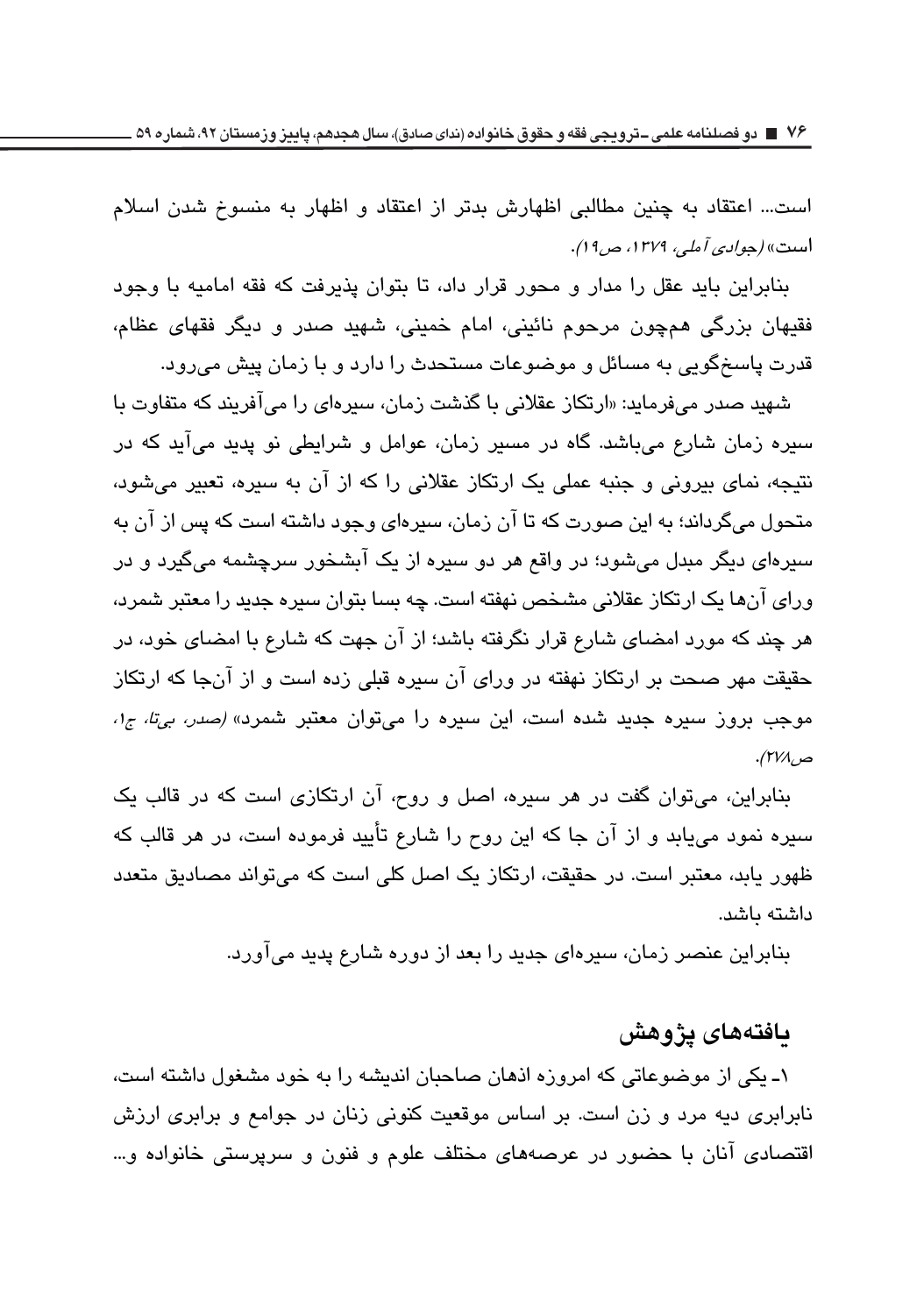است... اعتقاد به چنین مطالبی اظهارش بدتر از اعتقاد و اظهار به منسوخ شدن اسلام است» *(جوادي آملي، ١٣٧٩، ص ١٩)*.

بنابراین باید عقل را مدار و محور قرار داد، تا بتوان پذیرفت که فقه امامیه با وجود فقیهان بزرگی همچون مرحوم نائینی، امام خمینی، شهید صدر و دیگر فقهای عظام، قدرت پاسخگویی به مسائل و موضوعات مستحدث را دارد و با زمان پیش می رود.

شهید صدر میفرماید: «ارتکاز عقلانی با گذشت زمان، سدرهای را می آفریند که متفاوت با سبره زمان شارع میباشد. گاه در مسبر زمان، عوامل و شرایطی نو پدید میآید که در نتیجه، نمای بیرونی و جنبه عملی یک ارتکاز عقلانی را که از آن به سیره، تعبیر میشود، متحول می گرداند؛ به این صورت که تا آن زمان، سبرهای وجود داشته است که پس از آن به سپرهای دیگر مبدل میشود؛ در واقع هر دو سپره از یک آبشخور سرچشمه میگیرد و در ورای آنها یک ارتکاز عقلانی مشخص نهفته است. چه بسا بتران سبره جدید را معتبر شمرد، هر چند که مورد امضای شارع قرار نگرفته باشد؛ از آن جهت که شارع با امضای خود، در حقیقت مهر صحت بر ارتکاز نهفته در ورای آن سبره قبلی زده است و از آنجا که ارتکاز موجب بروز سپره جدید شده است، این سپره را میتوان معتبر شمرد» *(صدر، بیتا، ج۱، &* 

بنابراین، می توان گفت در هر سیره، اصل و روح، آن ارتکازی است که در قالب یک سیره نمود می،یابد و از آن جا که این روح را شارع تأیید فرموده است، در هر قالب که ظهور یابد، معتبر است. در حقیقت، ارتکاز یک اصل کلی است که می تواند مصادیق متعدد داشته ىاشد.

بنابراین عنصر زمان، سیرهای جدید را بعد از دوره شارع پدید می آورد.

### **يافتەھاي يژوهش**

۱ـ یکی از موضوعاتی که امروزه اذهان صاحبان اندیشه را به خود مشغول داشته است، نابرابری دیه مرد و زن است. بر اساس موقعیت کنونی زنان در جوامع و برابری ارزش اقتصادی آنان با حضور در عرصههای مختلف علوم و فنون و سرپرستی خانواده و…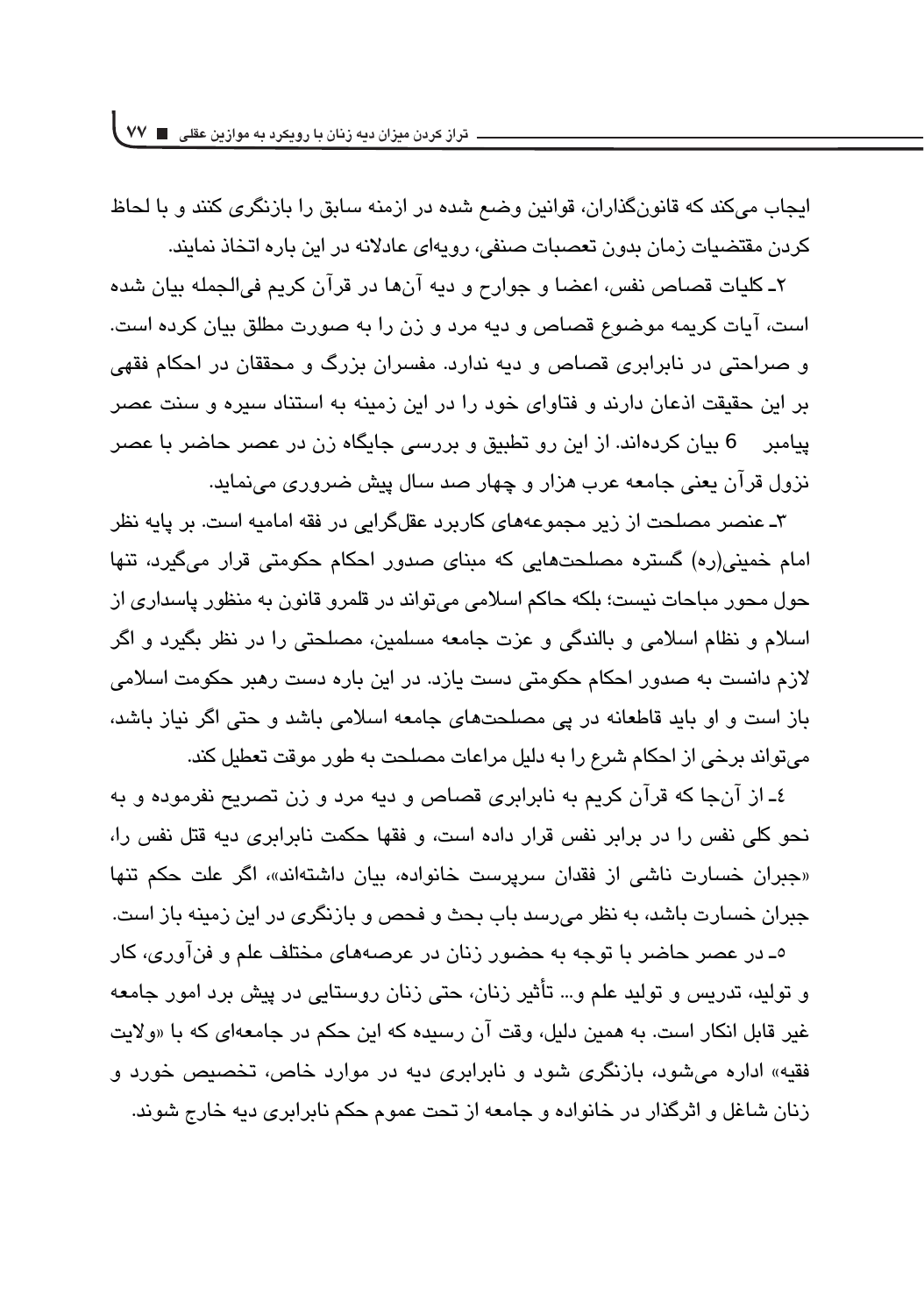ایجاب میکند که قانونگذاران، قوانین وضع شده در ازمنه سابق را بازنگری کنند و با لحاظ کردن مقتضیات زمان بدون تعصبات صنفی، رویهای عادلانه در این باره اتخاذ نمایند.

۲ـ کلیات قصاص نفس، اعضا و جوارح و دیه انها در قران کریم فیالجمله بیان شده است، آبات کریمه موضوع قصاص و دیه مرد و زن را به صورت مطلق بیان کرده است. و صراحتی در نابرابری قصاص و دیه ندارد. مفسران بزرگ و محققان در احکام فقهی بر این حقیقت اذعان دارند و فتاوای خود را در این زمینه به استناد سیره و سنت عصر ییامبر 6 بیان کردهاند. از این رو تطبیق و بررسی جایگاه زن در عصر حاضر با عصر نزول قرآن يعني جامعه عرب هزار و چهار صد سال پيش ضروري مي،نمايد.

۳ـ عنصر مصلحت از زیر مجموعههای کاربرد عقلگرایی در فقه امامیه است. بر پایه نظر امام خمینی(ره) گستره مصلحتهایی که مینای صدور احکام حکومتی قرار میگیرد، تنها حول محور مباحات ني*س*ت؛ بلكه حاكم اسلامي مي تواند در قلمرو قانون به منظور پاسداري از اسلام و نظام اسلامی و بالندگی و عزت جامعه مسلمین، مصلحتی را در نظر بگیرد و اگر لازم دانست به صدور احکام حکومتی دست یازد. در این باره دست رهبر حکومت اسلام*ی* باز است و او باید قاطعانه در پی مصلحتهای جامعه اسلامی باشد و حتی اگر نیاز باشد، میتواند برخی از احکام شرع را به دلیل مراعات مصلحت به طور موقت تعطیل کند.

٤ـ از آنجا كه قرآن كريم به نابرابري قصاص و ديه مرد و زن تصريح نفرموده و به نحو کلی نفس را در برابر نفس قرار داده است، و فقها حکمت نابرابری دیه قتل نفس را، «جبران خسارت ناشی از فقدان سرپرست خانواده، بیان داشتهاند»، اگر علت حکم تنها جبران خسارت باشد، به نظر میرسد باب بحث و فحص و بازنگری در این زمینه باز است.

٥ـ در عصر حاضر با توجه به حضور زنان در عرصههای مختلف علم و فنآوری، کار و تولید، تدریس و تولید علم و… تأثیر زنان، حتی زنان روستایی در پیش برد امور جامعه غیر قابل انکار است. به همین دلیل، وقت آن رسیده که این حکم در جامعهای که با «ولایت فقیه» اداره می شود، بازنگری شود و نابرابری دیه در موارد خاص، تخصیص خورد و زنان شاغل و اثرگذار در خانواده و جامعه از تحت عموم حکم نابرابری دیه خارج شوند.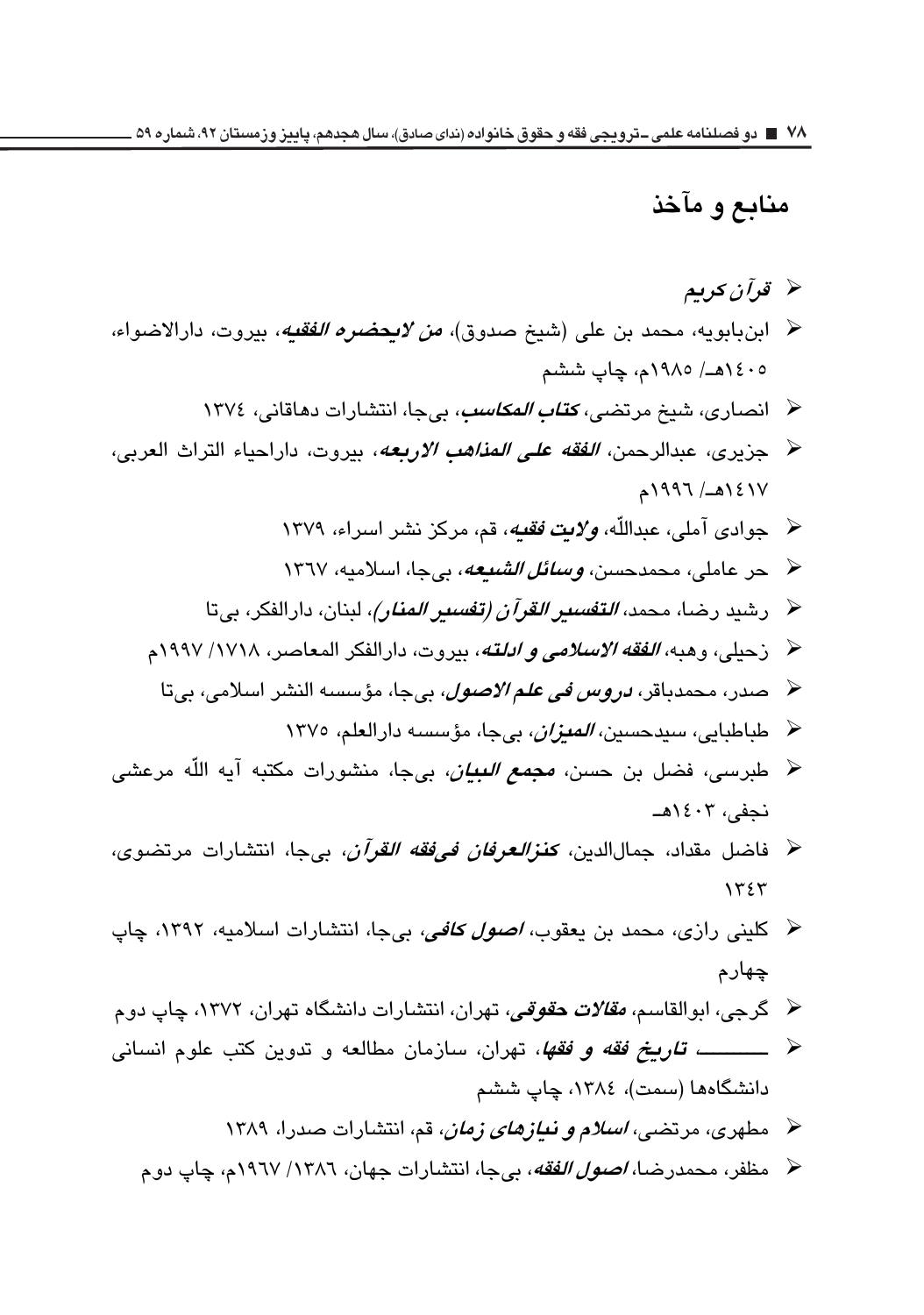## منابع و مآخذ

- قو آن کر ہم $\lambda$
- ﴿ ابنبابويه، محمد بن علي (شيخ صدوق)، *من لايحضره الفقيه*، بيروت، دارالاضواء، ١٤٠٥هـ/ ١٩٨٥م، چاپ ششم
	- ﴿ انصاري، شيخ مرتضى، *كتاب المكاسب*، بي جا، انتشارات دهاقاني، ١٣٧٤
- ح جزيري، عبدالرحمن، *الفقه على المذاهب الاربعه*، بيروت، داراحياء التراث العربي،  $1997 / 2121$ 
	- ﴿ جوادي آملي، عبداللَّه، ولات فقته، قم، مركز نشر اسراء، ١٣٧٩
	- لا حر عاملي، محمدحسن، *وسائل الشنعه*، بيجا، اسلاميه، ١٣٦٧
	- ﴿ رشيد رضا، محمد، *التف<i>سير القرآن (تفسير المنار)،* **لبنان،** دارالفكر، بيتا
	- ﴿ زحيلي، وهبه، *الفقه الاسلامي و ادلته*، بيروت، دارالفكر المعاصر، ١٧١٨/ ١٩٩٧م
	- ﴿ صدر، محمدباقر، *دروس في علم الاصول،* بيجا، مؤسسه النشر اسلامي، بيتا
		-
- ﴿ طبرسی، فضل بن حسن*، مجمع البیان*، بیجا، منشورات مکتبه آیه اللّه مرعش*ی* نجفي، ١٤٠٣هـ
- ﴿ فَاضْلْ مَقْدَاد، جِمَالِالدين، كَ**نْز***العرفان في فَقَّه القرآن***، بي**جا، انتشارات مرتضوي،  $155$
- کلینی رازی، محمد بن یعقوب*، اصول کافی،* بیجا، انتشارات اسلامیه، ۱۳۹۲، چاپ  $\rightarrow$ چهارم
- ≺ گرجی، ابوالقاسم، *مقالات حقوقی،* تهران، انتشارات دانشگاه تهران، ۱۳۷۲، چاپ دو م
- ≺ ــــــــــــــــــــ *تـاريــخ فقه و فقها*، تهران، سازمان مطالعه و تدوين كتب علوم انسـاني دانشگاهها (سمت)، ١٣٨٤، چاپ ششم
	- ه مطهری، مرتض*ی، اسلام و نیازهای زمان*، قم، انتشارات صدرا، ۱۳۸۹
	- ﴿ مظفر، محمدرضا، *اصول الفقه*، بيجا، انتشارات جهان، ١٣٨٦/ ١٩٦٧م، چاپ دو م